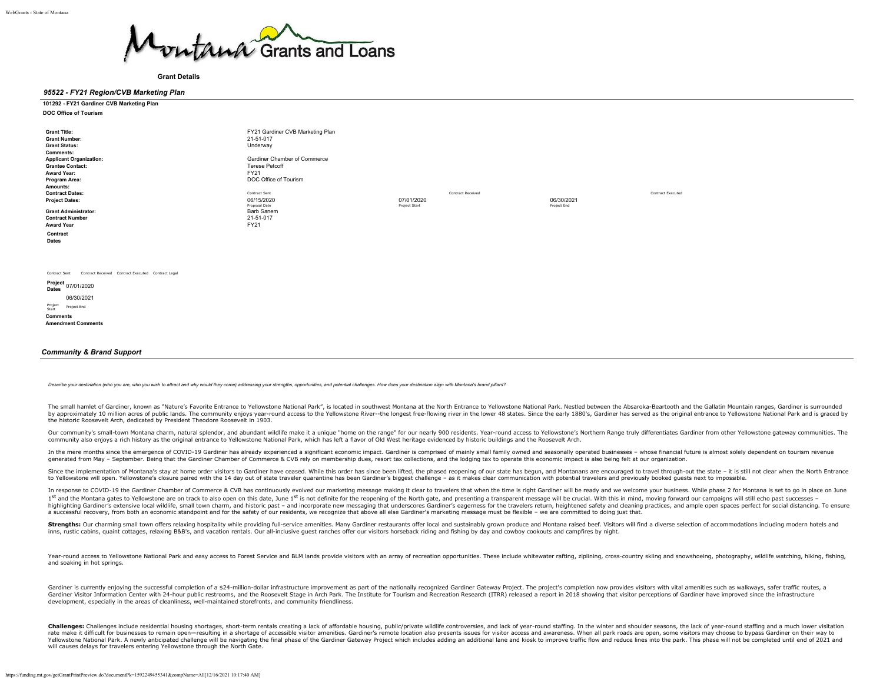

#### **Grant Details**

#### *95522 - FY21 Region/CVB Marketing Plan*

| 101292 - FY21 Gardiner CVB Marketing Plan |  |
|-------------------------------------------|--|
| <b>DOC Office of Tourism</b>              |  |

| <b>Grant Title:</b>                                                 | FY21 Gardiner CVB Marketing Plan |               |                          |             |                   |
|---------------------------------------------------------------------|----------------------------------|---------------|--------------------------|-------------|-------------------|
| <b>Grant Number:</b>                                                | 21-51-017                        |               |                          |             |                   |
| <b>Grant Status:</b>                                                | Underway                         |               |                          |             |                   |
| <b>Comments:</b>                                                    |                                  |               |                          |             |                   |
| <b>Applicant Organization:</b>                                      | Gardiner Chamber of Commerce     |               |                          |             |                   |
| <b>Grantee Contact:</b>                                             | <b>Terese Petcoff</b>            |               |                          |             |                   |
| <b>Award Year:</b>                                                  | FY21                             |               |                          |             |                   |
| Program Area:                                                       | DOC Office of Tourism            |               |                          |             |                   |
| Amounts:                                                            |                                  |               |                          |             |                   |
| <b>Contract Dates:</b>                                              | Contract Sent                    |               | <b>Contract Received</b> |             | Contract Executed |
| <b>Project Dates:</b>                                               | 06/15/2020                       | 07/01/2020    |                          | 06/30/2021  |                   |
|                                                                     | Proposal Date<br>Barb Sanem      | Project Start |                          | Project End |                   |
| <b>Grant Administrator:</b><br><b>Contract Number</b>               | 21-51-017                        |               |                          |             |                   |
|                                                                     | FY21                             |               |                          |             |                   |
| <b>Award Year</b>                                                   |                                  |               |                          |             |                   |
| Contract                                                            |                                  |               |                          |             |                   |
| Dates                                                               |                                  |               |                          |             |                   |
|                                                                     |                                  |               |                          |             |                   |
|                                                                     |                                  |               |                          |             |                   |
|                                                                     |                                  |               |                          |             |                   |
| Contract Received Contract Executed Contract Legal<br>Contract Sent |                                  |               |                          |             |                   |
| Project 07/01/2020<br><b>Dates</b>                                  |                                  |               |                          |             |                   |
| 06/30/2021                                                          |                                  |               |                          |             |                   |
| Project<br>Start<br>Project End                                     |                                  |               |                          |             |                   |
| <b>Comments</b>                                                     |                                  |               |                          |             |                   |
| <b>Amendment Comments</b>                                           |                                  |               |                          |             |                   |

#### *Community & Brand Support*

Describe your destination (who you are, who you wish to attract and why would they come) addressing your strengths, opportunities, and potential challenges. How does your destination align with Montana's brand pillars?

The small hamlet of Gardiner, known as "Nature's Favorite Entrance to Yellowstone National Park", is located in southwest Montana at the North Entrance to Yellowstone National Park. Nestled between the Absaroka-Beartooth a by approximately 10 million acres of public lands. The community enjoys year-round access to the Yellowstone River--the longest free-flowing river in the lower 48 states. Since the early 1880's, Gardiner has served as the the historic Roosevelt Arch, dedicated by President Theodore Roosevelt in 1903.

Our community's small-town Montana charm, natural splendor, and abundant wildlife make it a unique "home on the range" for our nearly 900 residents. Year-round access to Yellowstone's Northern Range truly differentiates Ga community also enjoys a rich history as the original entrance to Yellowstone National Park, which has left a flavor of Old West heritage evidenced by historic buildings and the Roosevelt Arch.

In the mere months since the emergence of COVID-19 Gardiner has already experienced a significant economic impact. Gardiner is comprised of mainly small family owned and seasonally operated businesses - whose financial fut generated from May - September. Being that the Gardiner Chamber of Commerce & CVB rely on membership dues, resort tax collections, and the lodging tax to operate this economic impact is also being felt at our organization.

Since the implementation of Montana's stay at home order visitors to Gardiner have ceased. While this order has since been lifted, the phased reopening of our state has begun, and Montanans are encouraged to travel through to Yellowstone will open. Yellowstone's closure paired with the 14 day out of state traveler quarantine has been Gardiner's biggest challenge - as it makes clear communication with potential travelers and previously booked

In response to COVID-19 the Gardiner Chamber of Commerce & CVB has continuously evolved our marketing message making it clear to travelers that when the time is right Gardiner will be ready and we welcome your business. Wh 1st and the Montana gates to Yellowstone are on track to also open on this date, June 1st is not definite for the reopening of the North gate, and presenting a transparent message will be crucial. With this in mind, moving highlighting Gardiner's extensive local wildlife, small town charm, and historic past - and incorporate new messaging that underscores Gardiner's eagerness for the travelers return, heightened safety and cleaning practices a successful recovery, from both an economic standpoint and for the safety of our residents, we recognize that above all else Gardiner's marketing message must be flexible – we are committed to doing just that.

Strengths: Our charming small town offers relaxing hospitality while providing full-service amenities. Many Gardiner restaurants offer local and sustainably grown produce and Montana raised beef. Visitors will find a diver inns, rustic cabins, quaint cottages, relaxing B&B's, and vacation rentals. Our all-inclusive guest ranches offer our visitors horseback riding and fishing by day and cowboy cookouts and campfires by night.

Year-round access to Yellowstone National Park and easy access to Forest Service and BLM lands provide visitors with an array of recreation opportunities. These include whitewater rafting, ziplining, cross-country skiing a and soaking in hot springs.

Gardiner is currently enjoying the successful completion of a \$24-million-dollar infrastructure improvement as part of the nationally recognized Gardiner Gateway Project. The project's completion now provides visitors with Gardiner Visitor Information Center with 24-hour public restrooms, and the Roosevelt Stage in Arch Park. The Institute for Tourism and Recreation Research (ITRR) released a report in 2018 showing that visitor perceptions o development, especially in the areas of cleanliness, well-maintained storefronts, and community friendliness.

Challenges: Challenges include residential housing shortages, short-term rentals creating a lack of affordable housing, public/private wildlife controversies, and lack of year-round staffing. In the winter and shoulder sea rate make it difficult for businesses to remain open-resulting in a shortage of accessible visitor amenities. Gardiner's remote location also presents issues for visitor access and awareness. When all park roads are open, Yellowstone National Park. A newly anticipated challenge will be navigating the final phase of the Gardiner Gateway Project which includes adding an additional lane and kiosk to improve traffic flow and reduce lines into t will causes delays for travelers entering Yellowstone through the North Gate.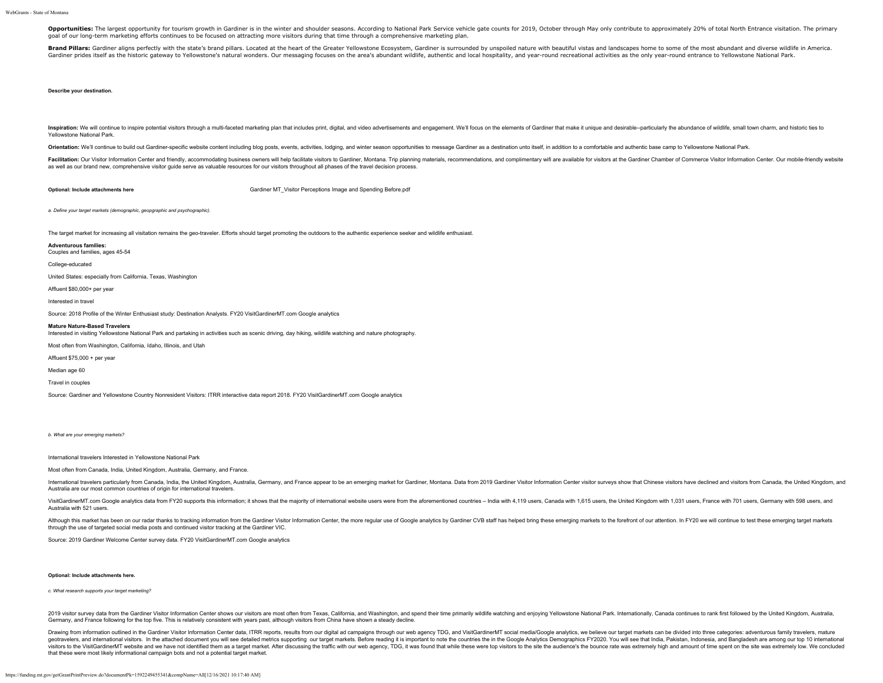Opportunities: The largest opportunity for tourism growth in Gardiner is in the winter and shoulder seasons. According to National Park Service vehicle gate counts for 2019, October through May only contribute to approxima goal of our long-term marketing efforts continues to be focused on attracting more visitors during that time through a comprehensive marketing plan.

Brand Pillars: Gardiner aligns perfectly with the state's brand pillars. Located at the heart of the Greater Yellowstone Ecosystem, Gardiner is surrounded by unspoiled nature with beautiful vistas and landscapes home to so Gardiner prides itself as the historic gateway to Yellowstone's natural wonders. Our messaging focuses on the area's abundant wildlife, authentic and local hospitality, and year-round recreational activities as the only ye

### **Describe your destination.**

Inspiration: We will continue to inspire potential visitors through a multi-faceted marketing plan that includes print, digital, and video advertisements and engagement. We'll focus on the elements of Gardiner that make it Yellowstone National Park.

Orientation: We'll continue to build out Gardiner-specific website content including blog posts, events, activities, lodging, and winter season opportunities to message Gardiner as a destination unto itself, in addition to

Facilitation: Our Visitor Information Center and friendly, accommodating business owners will help facilitate visitors to Gardiner, Montana. Trip planning materials, recommendations, and complimentary wifi are available fo as well as our brand new, comprehensive visitor guide serve as valuable resources for our visitors throughout all phases of the travel decision process.

**Optional: Include attachments here Garding School Control Cardiner MT** Visitor Perceptions Image and Spending Before.pdf

*a. Define your target markets (demographic, geopgraphic and psychographic).*

The target market for increasing all visitation remains the geo-traveler. Efforts should target promoting the outdoors to the authentic experience seeker and wildlife enthusiast.

## **Adventurous families:**

Couples and families, ages 45-54

College-educated

United States: especially from California, Texas, Washington

Affluent \$80,000+ per year

Interested in travel

Source: 2018 Profile of the Winter Enthusiast study: Destination Analysts. FY20 VisitGardinerMT.com Google analytics

#### **Mature Nature-Based Travelers**

Interested in visiting Yellowstone National Park and partaking in activities such as scenic driving, day hiking, wildlife watching and nature photography.

Most often from Washington, California, Idaho, Illinois, and Utah

Affluent \$75,000 + per year

Median age 60

Travel in couples

Source: Gardiner and Yellowstone Country Nonresident Visitors: ITRR interactive data report 2018. FY20 VisitGardinerMT.com Google analytics

*b. What are your emerging markets?*

International travelers Interested in Yellowstone National Park

Most often from Canada, India, United Kingdom, Australia, Germany, and France.

International travelers particularly from Canada, India, the United Kingdom, Australia, Germany, and France appear to be an emerging market for Gardiner, Montana. Data from 2019 Gardiner Visitor Information Center visitor Australia are our most common countries of origin for international travelers.

VisitGardinerMT.com Google analytics data from FY20 supports this information; it shows that the majority of international website users were from the aforementioned countries - India with 4,119 users, Canada with 1,615 us Australia with 521 users.

Although this market has been on our radar thanks to tracking information from the Gardiner Visitor Information Center, the more regular use of Google analytics by Gardiner CVB staff has helped bring these emerging markets through the use of targeted social media posts and continued visitor tracking at the Gardiner VIC.

Source: 2019 Gardiner Welcome Center survey data. FY20 VisitGardinerMT.com Google analytics

#### **Optional: Include attachments here.**

#### *c. What research supports your target marketing?*

2019 visitor survey data from the Gardiner Visitor Information Center shows our visitors are most often from Texas, California, and Washington, and spend their time primarily wildlife watching and enjoying Yellowstone Nati Germany, and France following for the top five. This is relatively consistent with years past, although visitors from China have shown a steady decline.

Drawing from information outlined in the Gardiner Visitor Information Center data, ITRR reports, results from our digital ad campaigns through our web agency TDG, and VisitGardinerMT social media/Google analytics, we belie geotravelers, and international visitors. In the attached document you will see detailed metrics supporting our target markets. Before reading it is important to note the countries the in the Google Analytics Demographics visitors to the VisitGardinerMT website and we have not identified them as a target market. After discussing the traffic with our web agency, TDG, it was found that while these were top visitors to the site the audience's that these were most likely informational campaign bots and not a potential target market.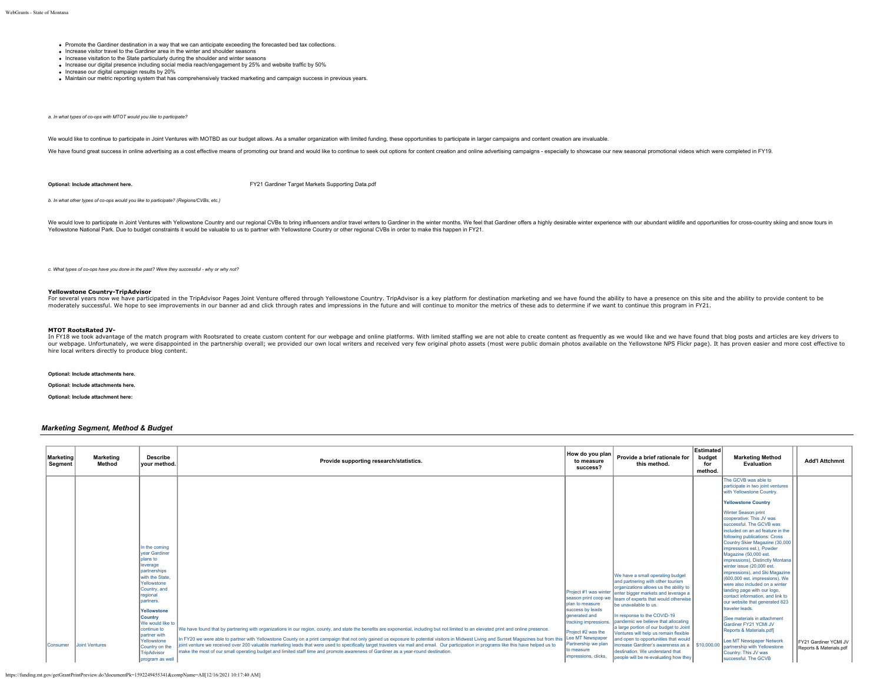- Promote the Gardiner destination in a way that we can anticipate exceeding the forecasted bed tax collections.
- Increase visitor travel to the Gardiner area in the winter and shoulder seasons
- Increase visitation to the State particularly during the shoulder and winter seasons
- Increase our digital presence including social media reach/engagement by 25% and website traffic by 50%
- Increase our digital campaign results by 20%
- Maintain our metric reporting system that has comprehensively tracked marketing and campaign success in previous years.

*a. In what types of co-ops with MTOT would you like to participate?*

We would like to continue to participate in Joint Ventures with MOTBD as our budget allows. As a smaller organization with limited funding, these opportunities to participate in larger campaigns and content creation are in

We have found great success in online advertising as a cost effective means of promoting our brand and would like to continue to seek out options for content creation and online advertising campaigns - especially to showca

**Optional: Include attachment here.** [FY21 Gardiner Target Markets Supporting Data.pdf](https://funding.mt.gov/fileDownload.jsp?filename=1586459656494_FY21+Gardiner+Target+Markets+Supporting+Data.pdf)

*b. In what other types of co-ops would you like to participate? (Regions/CVBs, etc.)*

We would love to participate in Joint Ventures with Yellowstone Country and our regional CVBs to bring influencers and/or travel writers to Gardiner in the winter months. We feel that Gardiner offers a highly desirable win Yellowstone National Park. Due to budget constraints it would be valuable to us to partner with Yellowstone Country or other regional CVBs in order to make this happen in FY21.

*c. What types of co-ops have you done in the past? Were they successful - why or why not?*

#### **Yellowstone Country-TripAdvisor**

For several vears now we have participated in the TripAdvisor Pages Joint Venture offered through Yellowstone Country. TripAdvisor is a key platform for destination marketing and we have found the ability to have a presenc moderately successful. We hope to see improvements in our banner ad and click through rates and impressions in the future and will continue to monitor the metrics of these ads to determine if we want to continue this progr

#### **MTOT RootsRated JV-**

In FY18 we took advantage of the match program with Rootsrated to create custom content for our webpage and online platforms. With limited staffing we are not able to create content as frequently as we would like and we ha our webpage. Unfortunately, we were disappointed in the partnership overall; we provided our own local writers and received very few original photo assets (most were public domain photos available on the Yellowstone NPS Fl hire local writers directly to produce blog content.

#### **Optional: Include attachments here.**

#### **Optional: Include attachments here.**

**Optional: Include attachment here:**

## *Marketing Segment, Method & Budget*

| <b>Marketing</b><br>Segment | Marketing<br>Method   | <b>Describe</b><br>vour method.                                                                                                                                                                                               | Provide supporting research/statistics.                                                                                                                                                                                                                                                                                                                                                                                                                                                                                                     | How do you plan<br>to measure<br>success?                                                                                    | Provide a brief rationale for<br>this method.                                                                                                                                                                                                                                                                                                                  | <b>Estimated</b><br>budget<br>for<br>method. | <b>Marketing Method</b><br>Evaluation                                                                                                                                                                                                                                                                                                                                                                                                                                                                                                                                                                                                                                                                                                                      | <b>Add'l Attchmnt</b>                                   |
|-----------------------------|-----------------------|-------------------------------------------------------------------------------------------------------------------------------------------------------------------------------------------------------------------------------|---------------------------------------------------------------------------------------------------------------------------------------------------------------------------------------------------------------------------------------------------------------------------------------------------------------------------------------------------------------------------------------------------------------------------------------------------------------------------------------------------------------------------------------------|------------------------------------------------------------------------------------------------------------------------------|----------------------------------------------------------------------------------------------------------------------------------------------------------------------------------------------------------------------------------------------------------------------------------------------------------------------------------------------------------------|----------------------------------------------|------------------------------------------------------------------------------------------------------------------------------------------------------------------------------------------------------------------------------------------------------------------------------------------------------------------------------------------------------------------------------------------------------------------------------------------------------------------------------------------------------------------------------------------------------------------------------------------------------------------------------------------------------------------------------------------------------------------------------------------------------------|---------------------------------------------------------|
|                             |                       | In the coming<br>vear Gardiner<br><b>Jolans</b> to<br>leverage<br>partnerships<br>with the State.<br>Yellowstone<br>Country, and<br>regional<br>partners.<br>Yellowstone<br><b>Country</b><br>We would like to<br>continue to | We have found that by partnering with organizations in our region, county, and state the benefits are exponential, including but not limited to an elevated print and online presence.                                                                                                                                                                                                                                                                                                                                                      | season print coop we<br>Iplan to measure<br>success by leads<br>generated and<br>tracking impressions.<br>Project #2 was the | We have a small operating budget<br>and partnering with other tourism<br>organizations allows us the ability to<br>Project #1 was winter enter bigger markets and leverage a<br>Iteam of experts that would otherwise<br>be unavailable to us.<br>In response to the COVID-19<br>pandemic we believe that allocating<br>a large portion of our budget to Joint |                                              | The GCVB was able to<br>participate in two joint ventures<br>with Yellowstone Country.<br><b>Yellowstone Country</b><br>Winter Season print<br>cooperative: This JV was<br>successful. The GCVB was<br>included on an ad feature in the<br>following publications: Cross<br>Country Skier Magazine (30,000<br>impressions est.), Powder<br>Magazine (50,000 est.<br>impressions). Distinctly Montana<br>winter issue (20,000 est.<br>impressions), and Ski Magazine<br>(600,000 est. impressions). We<br>were also included on a winter<br>landing page with our logo.<br>contact information, and link to<br>our website that generated 823<br>traveler leads.<br><b>ISee materials in attachment</b><br>Gardiner FY21 YCMI JV<br>Reports & Materials.pdf |                                                         |
| <b>Consumer</b>             | <b>Joint Ventures</b> | nartner with<br>Yellowstone<br>Country on the<br><b>TripAdvisor</b><br>program as well                                                                                                                                        | In FY20 we were able to partner with Yellowstone County on a print campaign that not only gained us exposure to potential visitors in Midwest Living and Sunset Magazines but from this Lee MT Newspaper<br>joint venture we received over 200 valuable marketing leads that were used to specifically target travelers via mail and email. Our participation in programs like this have helped us to<br>Imake the most of our small operating budget and limited staff time and promote awareness of Gardiner as a vear-round destination. | Partnership we plan<br>to measure<br>impressions, clicks.                                                                    | Ventures will help us remain flexible<br>and open to opportunities that would<br>increase Gardiner's awareness as a   \$10,000.00<br>destination. We understand that<br>people will be re-evaluating how they                                                                                                                                                  |                                              | Lee MT Newspaper Network<br>partnership with Yellowstone<br>Country: This JV was<br>successful. The GCVB                                                                                                                                                                                                                                                                                                                                                                                                                                                                                                                                                                                                                                                   | <b>FY21 Gardiner YCMI JV</b><br>Reports & Materials.pdf |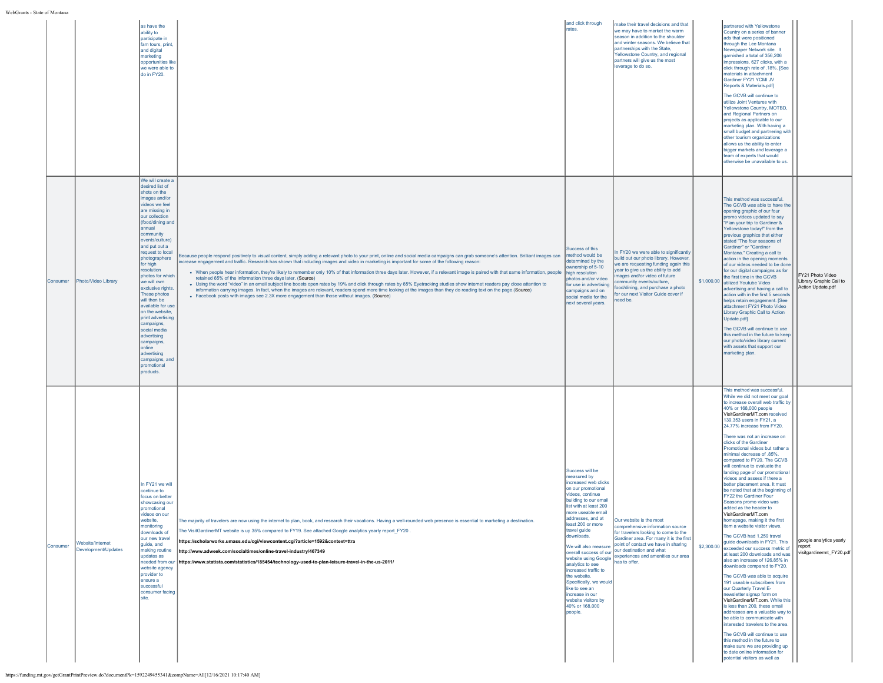|          |                                         | as have the<br>ability to<br>participate in<br>fam tours, print,<br>and digital<br>marketing<br>opportunities like<br>we were able to<br>do in FY20.                                                                                                                                                                                                                                                                                                                                                                                                             |                                                                                                                                                                                                                                                                                                                                                                                                                                                                                                                                                                                                                                                                                                                                                                                                                                                                                                                                                                                                                                                               | and click through<br>rates.                                                                                                                                                                                                                                                                                                                                                                                                                                                      | make their travel decisions and that<br>we may have to market the warm<br>season in addition to the shoulder<br>and winter seasons. We believe that<br>partnerships with the State,<br>Yellowstone Country, and regional<br>partners will give us the most<br>leverage to do so.                               |            | partnered with Yellowstone<br>Country on a series of banner<br>ads that were positioned<br>through the Lee Montana<br>Newspaper Network site. It<br>garnished a total of 356,206<br>impressions, 627 clicks, with a<br>click through rate of .18%. [See<br>materials in attachment<br>Gardiner FY21 YCMI JV<br>Reports & Materials.pdf]<br>The GCVB will continue to<br>utilize Joint Ventures with<br>Yellowstone Country, MOTBD,<br>and Regional Partners on<br>projects as applicable to our<br>marketing plan. With having a<br>small budget and partnering with<br>other tourism organizations<br>allows us the ability to enter<br>bigger markets and leverage a<br>team of experts that would<br>otherwise be unavailable to us.                                                                                                                                                                                                                                                                                                                                                                                                                                                                                                                                                                                                                                     |                                                                  |
|----------|-----------------------------------------|------------------------------------------------------------------------------------------------------------------------------------------------------------------------------------------------------------------------------------------------------------------------------------------------------------------------------------------------------------------------------------------------------------------------------------------------------------------------------------------------------------------------------------------------------------------|---------------------------------------------------------------------------------------------------------------------------------------------------------------------------------------------------------------------------------------------------------------------------------------------------------------------------------------------------------------------------------------------------------------------------------------------------------------------------------------------------------------------------------------------------------------------------------------------------------------------------------------------------------------------------------------------------------------------------------------------------------------------------------------------------------------------------------------------------------------------------------------------------------------------------------------------------------------------------------------------------------------------------------------------------------------|----------------------------------------------------------------------------------------------------------------------------------------------------------------------------------------------------------------------------------------------------------------------------------------------------------------------------------------------------------------------------------------------------------------------------------------------------------------------------------|----------------------------------------------------------------------------------------------------------------------------------------------------------------------------------------------------------------------------------------------------------------------------------------------------------------|------------|-----------------------------------------------------------------------------------------------------------------------------------------------------------------------------------------------------------------------------------------------------------------------------------------------------------------------------------------------------------------------------------------------------------------------------------------------------------------------------------------------------------------------------------------------------------------------------------------------------------------------------------------------------------------------------------------------------------------------------------------------------------------------------------------------------------------------------------------------------------------------------------------------------------------------------------------------------------------------------------------------------------------------------------------------------------------------------------------------------------------------------------------------------------------------------------------------------------------------------------------------------------------------------------------------------------------------------------------------------------------------------|------------------------------------------------------------------|
| Consumer | Photo/Video Library                     | We will create a<br>desired list of<br>shots on the<br>images and/or<br>videos we feel<br>are missing in<br>our collection<br>(food/dining and<br>annual<br>community<br>events/culture)<br>and put out a<br>request to local<br>photographers<br>for high<br>resolution<br>photos for which<br>we will own<br>exclusive rights.<br>These photos<br>will then be<br>available for use<br>on the website,<br>print advertising<br>campaigns,<br>social media<br>advertising<br>campaigns,<br>lonline<br>advertising<br>campaigns, and<br>promotional<br>products. | Because people respond positively to visual content, simply adding a relevant photo to your print, online and social media campaigns can grab someone's attention. Brilliant images can method would be<br>ncrease engagement and traffic. Research has shown that including images and video in marketing is important for some of the following reason:<br>. When people hear information, they're likely to remember only 10% of that information three days later. However, if a relevant image is paired with that same information, people<br>retained 65% of the information three days later. (Source)<br>. Using the word "video" in an email subject line boosts open rates by 19% and click through rates by 65% Eyetracking studies show internet readers pay close attention to<br>information carrying images. In fact, when the images are relevant, readers spend more time looking at the images than they do reading text on the page.(Source)<br>• Facebook posts with images see 2.3X more engagement than those without images. (Source) | Success of this<br>determined by the<br>wnership of 5-10<br>high resolution<br>photos and/or video<br>for use in advertising<br>campaigns and on<br>social media for the<br>next several years.                                                                                                                                                                                                                                                                                  | In FY20 we were able to significantly<br>build out our photo library. However,<br>we are requesting funding again this<br>year to give us the ability to add<br>nages and/or video of future<br>ommunity events/culture,<br>ood/dining, and purchase a photo<br>for our next Visitor Guide cover if<br>eed be. |            | This method was successful.<br>The GCVB was able to have the<br>opening graphic of our four<br>promo videos updated to say<br>"Plan your trip to Gardiner &<br>Yellowstone today!" from the<br>previous graphics that either<br>stated "The four seasons of<br>Gardiner" or "Gardiner<br>Montana." Creating a call to<br>action in the opening moments<br>of our videos needed to be done<br>for our digital campaigns as for<br>the first time in the GCVB<br>\$1,000.00 utilized Youtube Video<br>advertising and having a call to<br>action with in the first 5 seconds<br>helps retain engagement. [See<br>attachment FY21 Photo Video<br>Library Graphic Call to Action<br>Update.pdf]<br>The GCVB will continue to use<br>this method in the future to keep<br>our photo/video library current<br>with assets that support our<br>marketing plan.                                                                                                                                                                                                                                                                                                                                                                                                                                                                                                                     | FY21 Photo Video<br>Library Graphic Call to<br>Action Update.pdf |
| Consumer | Website/Internet<br>Development/Updates | In FY21 we will<br>continue to<br>focus on better<br>showcasing our<br>promotional<br>videos on our<br>ะมรแบ<br>monitorina<br>downloads of<br>our new travel<br>guide, and<br>making routine<br>updates as<br>website agency<br>provider to<br>ensure a<br>successful<br>consumer facing<br>site.                                                                                                                                                                                                                                                                | ne majority of travelers are now using the internet to pian, book, and research their vacations. Having a well-rounded web presence is essential to marketing a destination<br>. The VisitGardinerMT website is up 35% compared to FY19. See attached Google analytics yearly report_FY20<br>https://scholarworks.umass.edu/cgi/viewcontent.cgi?article=1592&context=ttra<br>http://www.adweek.com/socialtimes/online-travel-industry/467349<br>needed from our https://www.statista.com/statistics/185454/technology-used-to-plan-leisure-travel-in-the-us-2011/                                                                                                                                                                                                                                                                                                                                                                                                                                                                                             | Success will be<br>measured by<br>increased web clicks<br>on our promotional<br>videos, continue<br>building to our email<br>list with at least 200<br>more useable email<br>addresses, and at<br>least 200 or more<br>travel guide<br>downloads.<br>We will also measure<br>website using Google<br>analytics to see<br>increased traffic to<br>the website.<br>Specifically, we would<br>like to see an<br>increase in our<br>website visitors by<br>40% or 168,000<br>people. | ur website is the mos<br>comprehensive information source<br>for travelers looking to come to the<br>Gardiner area. For many it is the first<br>point of contact we have in sharing<br>overall success of our our destination and what<br>experiences and amenities our area<br>has to offer.                  | \$2,300.00 | This method was successful.<br>While we did not meet our goal<br>to increase overall web traffic by<br>40% or 168,000 people<br>VisitGardinerMT.com received<br>139,353 users in FY21, a<br>24.77% increase from FY20.<br>There was not an increase on<br>clicks of the Gardiner<br>Promotional videos but rather a<br>minimal decrease of .85%.<br>compared to FY20. The GCVB<br>will continue to evaluate the<br>landing page of our promotional<br>videos and assess if there a<br>better placement area. It must<br>be noted that at the beginning of<br>FY22 the Gardiner Four<br>Seasons promo video was<br>added as the header to<br>VisitGardinerMT.com<br>item a website visitor views.<br>The GCVB had 1.259 travel<br>guide downloads in FY21. This<br>exceeded our success metric of<br>at least 200 downloads and was<br>also an increase of 126.85% in<br>downloads compared to FY20.<br>The GCVB was able to acquire<br>191 useable subscribers from<br>our Quarterly Travel E-<br>newsletter signup form on<br>VisitGardinerMT.com. While this<br>is less than 200, these email<br>addresses are a valuable way to<br>be able to communicate with<br>interested travelers to the area.<br>The GCVB will continue to use<br>this method in the future to<br>make sure we are providing up<br>to date online information for<br>potential visitors as well as | google analytics yearly<br>l report<br>visitgardinermt_FY20.pdf  |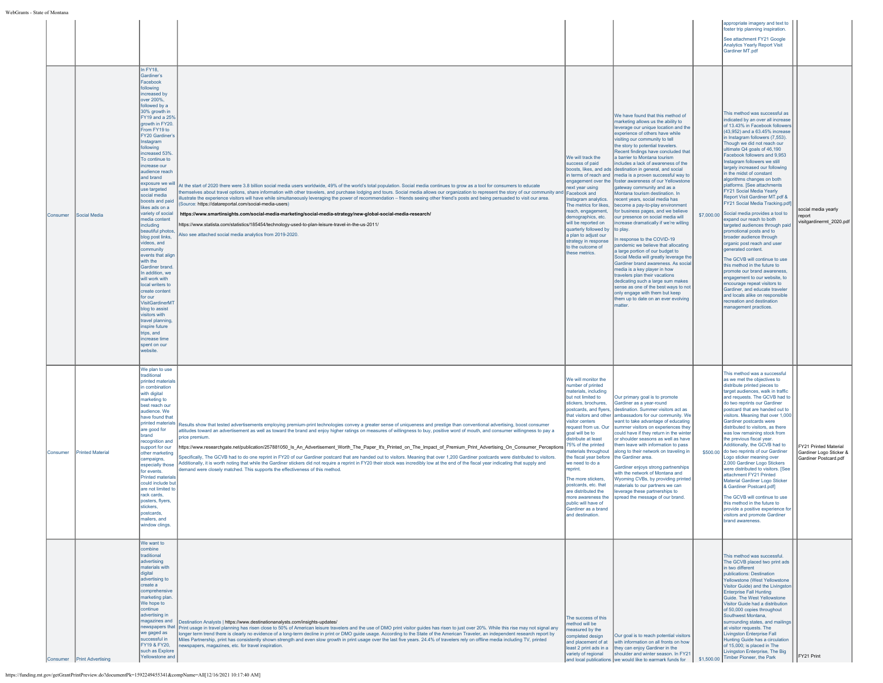| WebGrants - State of Montana |  |  |
|------------------------------|--|--|
|                              |  |  |

| State of Montana  |                            |                                                                                                                                                                                                                                                                                                                                                                                                                                                                                                                                                                                                                                                                                                                                                                                                                       |                                                                                                                                                                                                                                                                                                                                                                                                                                                                                                                                                                                                                                                                                                                                                                                                                                                                                                                                                                                                                                           |                                                                                                                                                                                                                                                                                                                                                                                                                                                                                                                           |                                                                                                                                                                                                                                                                                                                                                                                                                                                                                                                                                                                                                                                                                                                                                                                                                                                                                                                                                                                                                                                                                                                                                                        |            |                                                                                                                                                                                                                                                                                                                                                                                                                                                                                                                                                                                                                                                                                                                                                                                                                                                                                                                                                                                                                                                 |                                                                           |
|-------------------|----------------------------|-----------------------------------------------------------------------------------------------------------------------------------------------------------------------------------------------------------------------------------------------------------------------------------------------------------------------------------------------------------------------------------------------------------------------------------------------------------------------------------------------------------------------------------------------------------------------------------------------------------------------------------------------------------------------------------------------------------------------------------------------------------------------------------------------------------------------|-------------------------------------------------------------------------------------------------------------------------------------------------------------------------------------------------------------------------------------------------------------------------------------------------------------------------------------------------------------------------------------------------------------------------------------------------------------------------------------------------------------------------------------------------------------------------------------------------------------------------------------------------------------------------------------------------------------------------------------------------------------------------------------------------------------------------------------------------------------------------------------------------------------------------------------------------------------------------------------------------------------------------------------------|---------------------------------------------------------------------------------------------------------------------------------------------------------------------------------------------------------------------------------------------------------------------------------------------------------------------------------------------------------------------------------------------------------------------------------------------------------------------------------------------------------------------------|------------------------------------------------------------------------------------------------------------------------------------------------------------------------------------------------------------------------------------------------------------------------------------------------------------------------------------------------------------------------------------------------------------------------------------------------------------------------------------------------------------------------------------------------------------------------------------------------------------------------------------------------------------------------------------------------------------------------------------------------------------------------------------------------------------------------------------------------------------------------------------------------------------------------------------------------------------------------------------------------------------------------------------------------------------------------------------------------------------------------------------------------------------------------|------------|-------------------------------------------------------------------------------------------------------------------------------------------------------------------------------------------------------------------------------------------------------------------------------------------------------------------------------------------------------------------------------------------------------------------------------------------------------------------------------------------------------------------------------------------------------------------------------------------------------------------------------------------------------------------------------------------------------------------------------------------------------------------------------------------------------------------------------------------------------------------------------------------------------------------------------------------------------------------------------------------------------------------------------------------------|---------------------------------------------------------------------------|
|                   |                            |                                                                                                                                                                                                                                                                                                                                                                                                                                                                                                                                                                                                                                                                                                                                                                                                                       |                                                                                                                                                                                                                                                                                                                                                                                                                                                                                                                                                                                                                                                                                                                                                                                                                                                                                                                                                                                                                                           |                                                                                                                                                                                                                                                                                                                                                                                                                                                                                                                           |                                                                                                                                                                                                                                                                                                                                                                                                                                                                                                                                                                                                                                                                                                                                                                                                                                                                                                                                                                                                                                                                                                                                                                        |            | appropriate imagery and text to<br>foster trip planning inspiration.<br>See attachment FY21 Google<br><b>Analytics Yearly Report Visit</b><br>Gardiner MT.pdf                                                                                                                                                                                                                                                                                                                                                                                                                                                                                                                                                                                                                                                                                                                                                                                                                                                                                   |                                                                           |
| Consumer          | Social Media               | In FY18,<br>Gardiner's<br>Facebook<br>following<br>increased by<br>over 200%,<br>followed by a<br>30% growth in<br>FY19 and a 25%<br>growth in FY20.<br>From FY19 to<br>FY20 Gardiner's<br>Instagram<br>following<br>increased 53%<br>To continue to<br>increase our<br>audience reach<br>and brand<br>exposure we will<br>use targeted<br>social media<br>boosts and paid<br>likes ads on a<br>variety of social<br>media content<br>including<br>beautiful photos,<br>blog post links,<br>videos, and<br>community<br>events that align<br>with the<br>Gardiner brand.<br>In addition, we<br>will work with<br>local writers to<br>create content<br>for our<br>VisitGardinerMT<br>blog to assist<br>visitors with<br>travel planning,<br>inspire future<br>trips, and<br>increase time<br>spent on our<br>website. | At the start of 2020 there were 3.8 billion social media users worldwide, 49% of the world's total population. Social media continues to grow as a tool for consumers to educate<br>emselves about travel options, share information with other travelers, and purchase lodging and tours. Social media allows our organization to represent the story of our community and Facebook and<br>lustrate the experience visitors will have while simultaneously leveraging the power of recommendation - friends seeing other friend's posts and being persuaded to visit our area.<br>Source: https://datareportal.com/social-media-users)<br>https://www.smartinsights.com/social-media-marketing/social-media-strategy/new-global-social-media-research/<br>/https://www.statista.com/statistics/185454/technology-used-to-plan-leisure-travel-in-the-us-2011<br>Also see attached social media analytics from 2019-2020.                                                                                                                  | We will track the<br>success of paid<br>boosts, likes, and ads<br>in terms of reach and<br>engagement over the<br>next year using<br>Instagram analytics.<br>The metrics for likes,<br>reach, engagement,<br>demographics, etc.<br>will be reported on<br>quarterly followed by<br>a plan to adjust our<br>strategy in response<br>to the outcome of<br>these metrics.                                                                                                                                                    | We have found that this method of<br>narketing allows us the ability to<br>leverage our unique location and the<br>experience of others have while<br>visiting our community to tell<br>the story to potential travelers.<br>Recent findings have concluded that<br>a barrier to Montana tourism<br>includes a lack of awareness of the<br>destination in general, and social<br>media is a proven successful way to<br>foster awareness of our Yellowstone<br>gateway community and as a<br>Montana tourism destination. In<br>recent years, social media has<br>become a pay-to-play environment<br>for business pages, and we believe<br>our presence on social media will<br>increase dramatically if we're willing<br>to play.<br>n response to the COVID-19<br>pandemic we believe that allocating<br>a large portion of our budget to<br>Social Media will greatly leverage the<br>Gardiner brand awareness. As social<br>media is a key player in how<br>travelers plan their vacations<br>dedicating such a large sum makes<br>sense as one of the best ways to not<br>only engage with them but keep<br>them up to date on an ever evolving<br><b>natter</b> | \$7,000.00 | This method was successful as<br>indicated by an over all increase<br>of 13.43% in Facebook followers<br>(43,952) and a 63.45% increase<br>in Instagram followers (7,553).<br>Though we did not reach our<br>ultimate Q4 goals of 46,190<br>Facebook followers and 9,953<br>nstagram followers we still<br>largely increased our following<br>in the midst of constant<br>algorithms changes on both<br>platforms. [See attachments<br>FY21 Social Media Yearly<br>Report Visit Gardiner MT.pdf &<br>FY21 Social Media Tracking.pdf<br>Social media provides a tool to<br>expand our reach to both<br>targeted audiences through paid<br>promotional posts and to<br>broader audience through<br>organic post reach and user<br>denerated content<br>The GCVB will continue to use<br>this method in the future to<br>promote our brand awareness,<br>engagement to our website, to<br>encourage repeat visitors to<br>Gardiner, and educate traveler<br>and locals alike on responsible<br>recreation and destination<br>management practices. | social media vearly<br>report<br>visitgardinermt_2020.pdf                 |
| <b>I</b> Consumer | <b>Printed Material</b>    | We plan to use<br>traditional<br>printed materials<br>in combination<br>with digital<br>marketing to<br>best reach our<br>audience. We<br>have found that<br>printed materials<br>are good for<br>brand<br>recognition and<br>support for our<br>other marketing<br>campaigns,<br>especially those<br>for events.<br><b>Printed materials</b><br>could include but<br>are not limited to<br>rack cards.<br>posters, flyers,<br>stickers,<br>postcards,<br>mailers, and<br>window clings.                                                                                                                                                                                                                                                                                                                              | Results show that tested advertisements employing premium-print technologies convey a greater sense of uniqueness and prestige than conventional advertising, boost consumer<br>attitudes toward an advertisement as well as toward the brand and enjoy higher ratings on measures of willingness to buy, positive word of mouth, and consumer willingness to pay a<br>price premium.<br>https://www.researchgate.net/publication/257881050_Is_An_Advertisement_Worth_The_Paper_It's_Printed_on_The_Impact_of_Premium_Print_Advertising_On_Consumer_Perceptions<br>Specifically, The GCVB had to do one reprint in FY20 of our Gardiner postcard that are handed out to visitors. Meaning that over 1,200 Gardiner postcards were distributed to visitors.<br>Additionally, it is worth noting that while the Gardiner stickers did not require a reprint in FY20 their stock was incredibly low at the end of the fiscal year indicating that supply and<br>lemand were closely matched. This supports the effectiveness of this method. | We will monitor the<br>number of printed<br>materials, including<br>but not limited to<br>stickers, brochures,<br>postcards, and flyers,<br>that visitors and other<br>visitor centers<br>request from us. Our<br>goal will be to<br>distribute at least<br>75% of the printed<br>materials throughout<br>the fiscal year before<br>we need to do a<br>reprint.<br>The more stickers,<br>postcards, etc. that<br>are distributed the<br>more awareness the<br>public will have of<br>diner as a hranc<br>and destination. | Our primary goal is to promote<br>Gardiner as a year-round<br>destination. Summer visitors act as<br>ambassadors for our community. We<br>want to take advantage of educating<br>summer visitors on experiences they<br>could have if they return in the winter<br>or shoulder seasons as well as have<br>them leave with information to pass<br>along to their network on traveling in<br>the Gardiner area.<br>Gardiner enjoys strong partnerships<br>with the network of Montana and<br>Wyoming CVBs, by providing printed<br>materials to our partners we can<br>leverage these partnerships to<br>spread the message of our brand.                                                                                                                                                                                                                                                                                                                                                                                                                                                                                                                                |            | This method was a successful<br>as we met the objectives to<br>distribute printed pieces to<br>target audiences, walk in traffic<br>and requests. The GCVB had to<br>do two reprints our Gardiner<br>postcard that are handed out to<br>visitors. Meaning that over 1,000<br>Gardiner postcards were<br>distributed to visitors, as there<br>was low remaining stock from<br>the previous fiscal year.<br>Additionally, the GCVB had to<br>\$500.00 do two reprints of our Gardiner<br>Logo sticker meaning over<br>2,000 Gardiner Logo Stickers<br>were distributed to visitors. [See<br>attachment FY21 Printed<br>Material Gardiner Logo Sticker<br>& Gardiner Postcard.pdf]<br>The GCVB will continue to use<br>this method in the future to<br>visitors and promote Gardiner<br>brand awareness.                                                                                                                                                                                                                                           | FY21 Printed Material<br>Gardiner Logo Sticker &<br>Gardiner Postcard.pdf |
|                   | Consumer Print Advertising | We want to<br>combine<br>traditional<br>advertising<br>materials with<br>digital<br>advertising to<br>create a<br>comprehensive<br>marketing plan.<br>We hope to<br>continue<br>advertising in<br>magazines and<br>we gaged as<br>successful in<br>FY19 & FY20,<br>such as Explore<br>Yellowstone and                                                                                                                                                                                                                                                                                                                                                                                                                                                                                                                 | Destination Analysts   https://www.destinationanalysts.com/insights-updates/<br>newspapers that Print usage in travel planning has risen close to 50% of American leisure travelers and the use of DMO print visitor guides has risen to just over 20%. While this rise may not signal any<br>longer term trend there is clearly no evidence of a long-term decline in print or DMO guide usage. According to the State of the American Traveler, an independent research report by<br>Miles Partnership, print has consistently shown strength and even slow growth in print usage over the last five years. 24.4% of travelers rely on offline media including TV, printed<br>newspapers, magazines, etc. for travel inspiration.                                                                                                                                                                                                                                                                                                       | The success of this<br>nethod will be<br>neasured by the<br>completed design<br>and placement of at<br>least 2 print ads in a<br>variety of regional                                                                                                                                                                                                                                                                                                                                                                      | Our goal is to reach potential visitors<br>with information on all fronts on how<br>they can enjoy Gardiner in the<br>shoulder and winter season. In FY21<br>and local publications we would like to earmark funds for                                                                                                                                                                                                                                                                                                                                                                                                                                                                                                                                                                                                                                                                                                                                                                                                                                                                                                                                                 |            | This method was successful.<br>The GCVB placed two print ads<br>in two different<br>publications: Destination<br>Yellowstone (West Yellowstone<br>Visitor Guide) and the Livingstor<br><b>Enterprise Fall Hunting</b><br>Guide. The West Yellowstone<br>Visitor Guide had a distribution<br>of 50,000 copies throughout<br>Southwest Montana,<br>surrounding states, and mailings<br>at visitor requests. The<br><b>Livingston Enterprise Fall</b><br>Hunting Guide has a circulation<br>of 15,000; is placed in The<br>Livingston Enterprise, The Big<br>\$1,500.00 Timber Pioneer, the Park                                                                                                                                                                                                                                                                                                                                                                                                                                                   | FY21 Print                                                                |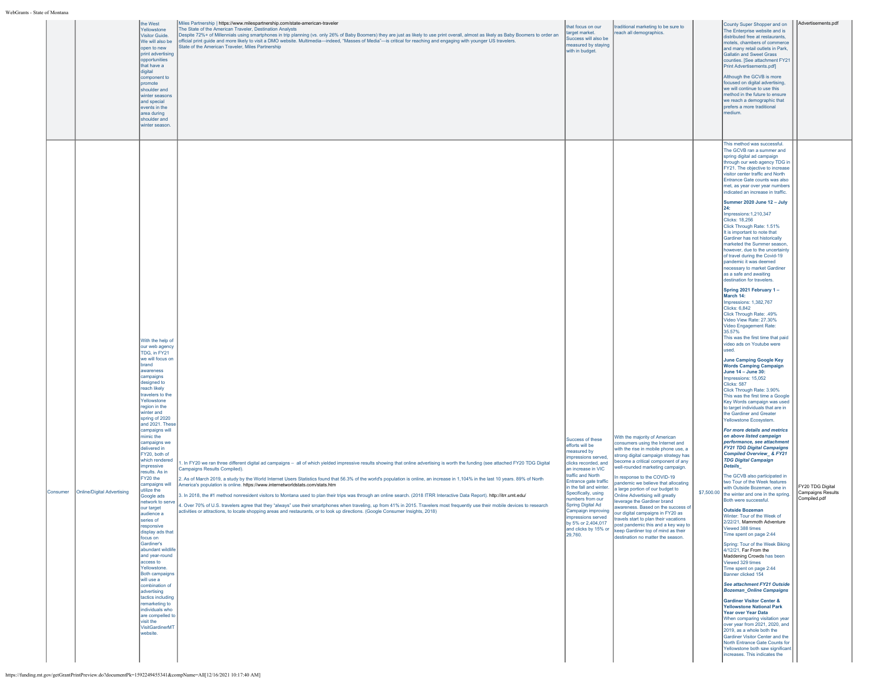|                                        | the West<br>Yellowstone<br>Visitor Guide.<br>We will also be<br>open to new<br>print advertising<br>opportunities<br>that have a<br>digital<br>component to<br>promote<br>shoulder and<br>winter seasons<br>and special<br>events in the<br>area during<br>shoulder and<br>winter season.                                                                                                                                                                                                                                                                                                                                                                                                                                                                                                                                            | Miles Partnership   https://www.milespartnership.com/state-american-traveler<br>The State of the American Traveler, Destination Analysts<br>Despite 72%+ of Millennials using smartphones in trip planning (vs. only 26% of Baby Boomers) they are just as likely to use print overall, almost as likely as Baby Boomers to order an<br>official print guide and more likely to visit a DMO website. Multimedia-indeed, "Masses of Media"-is critical for reaching and engaging with younger US travelers.<br>State of the American Traveler, Miles Partnership                                                                                                                                                                                                                                                                                                                                                                                                                                | that focus on our<br>target market.<br>Success will also be<br>neasured by staying<br>with in budget.                                                                                                                                                                                                                                         | traditional marketing to be sure to<br>reach all demographics.                                                                                                                                                                                                                                                                                                                                                                                                                                                                                                                                                                                                  |            | County Super Shopper and on<br>The Enterprise website and is<br>distributed free at restaurants,<br>motels, chambers of commerce<br>and many retail outlets in Park,<br><b>Gallatin and Sweet Grass</b><br>counties. [See attachment FY21<br>Print Advertisements.pdf]<br>Although the GCVB is more<br>focused on digital advertising,<br>we will continue to use this<br>method in the future to ensure<br>we reach a demographic that<br>prefers a more traditional<br>nedium.                                                                                                                                                                                                                                                                                                                                                                                                                                                                                                                                                                                                                                                                                                                                                                                                                                                                                                                                                                                                                                                                                                                                                                                                                                                                                                                                                                                                                                                                                                                                                                                                                                                                                                                                                                                                                                             | Advertisements.pdf                                    |
|----------------------------------------|--------------------------------------------------------------------------------------------------------------------------------------------------------------------------------------------------------------------------------------------------------------------------------------------------------------------------------------------------------------------------------------------------------------------------------------------------------------------------------------------------------------------------------------------------------------------------------------------------------------------------------------------------------------------------------------------------------------------------------------------------------------------------------------------------------------------------------------|------------------------------------------------------------------------------------------------------------------------------------------------------------------------------------------------------------------------------------------------------------------------------------------------------------------------------------------------------------------------------------------------------------------------------------------------------------------------------------------------------------------------------------------------------------------------------------------------------------------------------------------------------------------------------------------------------------------------------------------------------------------------------------------------------------------------------------------------------------------------------------------------------------------------------------------------------------------------------------------------|-----------------------------------------------------------------------------------------------------------------------------------------------------------------------------------------------------------------------------------------------------------------------------------------------------------------------------------------------|-----------------------------------------------------------------------------------------------------------------------------------------------------------------------------------------------------------------------------------------------------------------------------------------------------------------------------------------------------------------------------------------------------------------------------------------------------------------------------------------------------------------------------------------------------------------------------------------------------------------------------------------------------------------|------------|------------------------------------------------------------------------------------------------------------------------------------------------------------------------------------------------------------------------------------------------------------------------------------------------------------------------------------------------------------------------------------------------------------------------------------------------------------------------------------------------------------------------------------------------------------------------------------------------------------------------------------------------------------------------------------------------------------------------------------------------------------------------------------------------------------------------------------------------------------------------------------------------------------------------------------------------------------------------------------------------------------------------------------------------------------------------------------------------------------------------------------------------------------------------------------------------------------------------------------------------------------------------------------------------------------------------------------------------------------------------------------------------------------------------------------------------------------------------------------------------------------------------------------------------------------------------------------------------------------------------------------------------------------------------------------------------------------------------------------------------------------------------------------------------------------------------------------------------------------------------------------------------------------------------------------------------------------------------------------------------------------------------------------------------------------------------------------------------------------------------------------------------------------------------------------------------------------------------------------------------------------------------------------------------------------------------------|-------------------------------------------------------|
| Online/Digital Advertising<br>Consumer | With the help of<br>our web agency<br>TDG, in FY21<br>we will focus on<br>brand<br>awareness<br>campaigns<br>designed to<br>reach likely<br>travelers to the<br>Yellowstone<br>region in the<br>winter and<br>spring of 2020<br>and 2021. These<br>campaigns will<br>mimic the<br>campaigns we<br>delivered in<br>FY20, both of<br>which rendered<br>impressive<br>results. As in<br>FY20 the<br>campaigns will<br>utilize the<br>Google ads<br>network to serve<br>our target<br>audience a<br>series of<br>responsive<br>display ads that<br>focus on<br>Gardiner's<br>abundant wildlife<br>and year-round<br>access to<br>Yellowstone.<br>Both campaigns<br>will use a<br>combination of<br>advertising<br>tactics including<br>remarketing to<br>individuals who<br>are compelled to<br>visit the<br>VisitGardinerMT<br>website. | . In FY20 we ran three different digital ad campaigns - all of which yielded impressive results showing that online advertising is worth the funding (see attached FY20 TDG Digital<br>Campaigns Results Compiled).<br>2. As of March 2019, a study by the World Internet Users Statistics found that 56.3% of the world's population is online, an increase in 1,104% in the last 10 years. 89% of North<br>America's population is online. https://www.internetworldstats.com/stats.htm<br>3. In 2018, the #1 method nonresident visitors to Montana used to plan their trips was through an online search. (2018 ITRR Interactive Data Report). http://itrr.umt.edu/<br>4. Over 70% of U.S. travelers agree that they "always" use their smartphones when traveling, up from 41% in 2015. Travelers most frequently use their mobile devices to research<br>activities or attractions, to locate shopping areas and restaurants, or to look up directions. (Google Consumer Insights, 2018) | Success of these<br>efforts will be<br>measured by<br>mpressions served,<br>clicks recorded, and<br>an increase in VIC<br>traffic and North<br>Entrance gate traffic<br>in the fall and winter.<br>Specifically, using<br>numbers from our<br>Spring Digital Ad<br>npressions served<br>by 5% or 2,404,017<br>and clicks by 15% or<br>29,760. | With the majority of American<br>onsumers using the Internet and<br>with the rise in mobile phone use, a<br>strong digital campaign strategy has<br>become a critical component of any<br>well-rounded marketing campaign.<br>In response to the COVID-19<br>pandemic we believe that allocating<br>a large portion of our budget to<br>Online Advertising will greatly<br>leverage the Gardiner brand<br>awareness. Based on the success of<br>Campaign improving our digital campaigns in FY20 as<br>travels start to plan their vacations<br>post pandemic this and a key way to<br>Ikeep Gardiner top of mind as their<br>destination no matter the season. | \$7,500.00 | This method was successful<br>The GCVB ran a summer and<br>spring digital ad campaign<br>through our web agency TDG in<br>FY21. The objective to increase<br>visitor center traffic and North<br>Entrance Gate counts was also<br>met, as year over year numbers<br>indicated an increase in traffic.<br>Summer 2020 June 12 - July<br>124:<br>Impressions:1,210,347<br>Clicks: 18,256<br>Click Through Rate: 1.51%<br>It is important to note that<br>Gardiner has not historically<br>marketed the Summer season,<br>however, due to the uncertainty<br>of travel during the Covid-19<br>pandemic it was deemed<br>necessary to market Gardiner<br>as a safe and awaiting<br>destination for travelers.<br>Spring 2021 February 1-<br>March 14:<br>Impressions: 1,382,767<br>Clicks: 6,842<br>Click Through Rate: .49%<br>Video View Rate: 27.30%<br>Video Engagement Rate:<br>35.57%<br>This was the first time that paid<br>video ads on Youtube were<br>used<br><b>June Camping Google Key</b><br><b>Words Camping Campaign</b><br>June 14 - June 30:<br>Impressions: 15,052<br><b>Clicks: 587</b><br>Click Through Rate: 3.90%<br>This was the first time a Google<br>Key Words campaign was used<br>to target individuals that are in<br>the Gardiner and Greater<br>Yellowstone Ecosystem.<br>For more details and metrics<br>on above listed campaign<br>performance, see attachment<br><b>FY21 TDG Digital Campaigns</b><br><b>Compiled Overview &amp; FY21</b><br><b>TDG Digital Campaign</b><br>Details_<br>The GCVB also participated in<br>two Tour of the Week features<br>with Outside Bozeman, one in<br>the winter and one in the spring.<br>Both were successful.<br><b>Outside Bozeman</b><br>linter: Tour of the Week of<br>2/22/21, Mammoth Adventure<br>Viewed 388 times<br>Time spent on page 2:44<br>Spring: Tour of the Week Biking<br>4/12/21, Far From the<br>Maddening Crowds has been<br>Viewed 329 times<br>Time spent on page 2:44<br>Banner clicked 154<br>See attachment FY21 Outside<br><b>Bozeman_Online Campaigns</b><br><b>Gardiner Visitor Center &amp;</b><br>Yellowstone National Park<br>Year over Year Data<br>When comparing visitation year<br>over year from 2021, 2020, and<br>2019, as a whole both the<br>Gardiner Visitor Center and the<br>North Entrance Gate Counts for | FY20 TDG Digital<br>Campaigns Results<br>Compiled.pdf |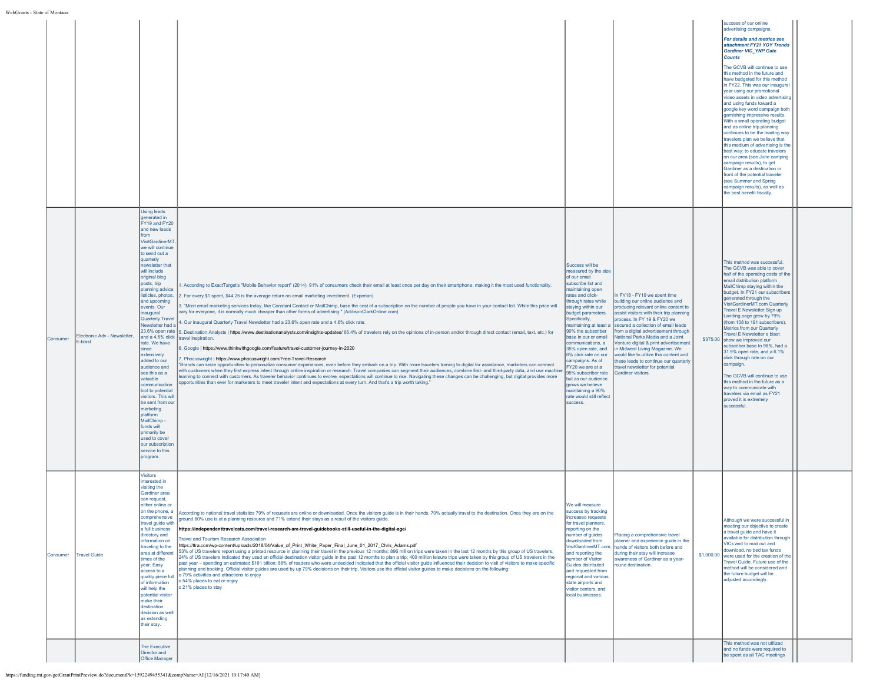| WebGrants - State of Montana |  |
|------------------------------|--|
|                              |  |

| tate of Montana |                                         |                                                                                                                                                                                                                                                                                                                                                                                                                                                                                                                                                                                                                                                                                                                           |                                                                                                                                                                                                                                                                                                                                                                                                                                                                                                                                                                                                                                                                                                                                                                                                                                                                                                                                                                                                                                                                                                                                                                                                                                                                                                                                                                                                                                                                                                                                                                                                                                                                                                                                                                                                  |                                                                                                                                                                                                                                                                                                                                                                                                                                                                                                                             |                                                                                                                                                                                                                                                                                                                                                                                                                                                                                                                              |                                                                                                                                                                                                                                                                                                                                                                                                                                                                                                                                                                                                                                                                                                                                                                                                                                                                                                     |  |
|-----------------|-----------------------------------------|---------------------------------------------------------------------------------------------------------------------------------------------------------------------------------------------------------------------------------------------------------------------------------------------------------------------------------------------------------------------------------------------------------------------------------------------------------------------------------------------------------------------------------------------------------------------------------------------------------------------------------------------------------------------------------------------------------------------------|--------------------------------------------------------------------------------------------------------------------------------------------------------------------------------------------------------------------------------------------------------------------------------------------------------------------------------------------------------------------------------------------------------------------------------------------------------------------------------------------------------------------------------------------------------------------------------------------------------------------------------------------------------------------------------------------------------------------------------------------------------------------------------------------------------------------------------------------------------------------------------------------------------------------------------------------------------------------------------------------------------------------------------------------------------------------------------------------------------------------------------------------------------------------------------------------------------------------------------------------------------------------------------------------------------------------------------------------------------------------------------------------------------------------------------------------------------------------------------------------------------------------------------------------------------------------------------------------------------------------------------------------------------------------------------------------------------------------------------------------------------------------------------------------------|-----------------------------------------------------------------------------------------------------------------------------------------------------------------------------------------------------------------------------------------------------------------------------------------------------------------------------------------------------------------------------------------------------------------------------------------------------------------------------------------------------------------------------|------------------------------------------------------------------------------------------------------------------------------------------------------------------------------------------------------------------------------------------------------------------------------------------------------------------------------------------------------------------------------------------------------------------------------------------------------------------------------------------------------------------------------|-----------------------------------------------------------------------------------------------------------------------------------------------------------------------------------------------------------------------------------------------------------------------------------------------------------------------------------------------------------------------------------------------------------------------------------------------------------------------------------------------------------------------------------------------------------------------------------------------------------------------------------------------------------------------------------------------------------------------------------------------------------------------------------------------------------------------------------------------------------------------------------------------------|--|
|                 |                                         |                                                                                                                                                                                                                                                                                                                                                                                                                                                                                                                                                                                                                                                                                                                           |                                                                                                                                                                                                                                                                                                                                                                                                                                                                                                                                                                                                                                                                                                                                                                                                                                                                                                                                                                                                                                                                                                                                                                                                                                                                                                                                                                                                                                                                                                                                                                                                                                                                                                                                                                                                  |                                                                                                                                                                                                                                                                                                                                                                                                                                                                                                                             |                                                                                                                                                                                                                                                                                                                                                                                                                                                                                                                              | success of our online<br>advertising campaigns.<br>For details and metrics see<br>attachment FY21 YOY Trends<br>Gardiner VIC_YNP Gate<br><b>Counts</b><br>The GCVB will continue to use<br>this method in the future and<br>have budgeted for this method<br>in FY22. This was our inaugural<br>year using our promotional<br>video assets in video advertising<br>and using funds toward a<br>google key word campaign both<br>garnishing impressive results.<br>With a small operating budget<br>and as online trip planning<br>continues to be the leading way<br>travelers plan we believe that<br>this medium of advertising is the<br>best way: to educate travelers<br>on our area (see June camping<br>campaign results), to get<br>Gardiner as a destination in<br>front of the potential traveler<br>see Summer and Spring<br>campaign results), as well as<br>the best benefit fiscally. |  |
| Consumer        | Electronic Adv - Newsletter,<br>E-blast | Using leads<br>generated in<br>FY19 and FY20<br>and new leads<br>from<br>VisitGardinerMT<br>we will continue<br>to send out a<br>quarterly<br>newsletter that<br>will include<br>original blog<br>posts, trip<br>planning advice,<br>listicles, photos,<br>and upcoming<br>events. Our<br>inaugural<br><b>Quarterly Travel</b><br>Newsletter had a<br>23.6% open rate<br>and a 4.6% click<br>rate. We have<br>since<br>extensively<br>added to our<br>audience and<br>see this as a<br>valuable<br>communication<br>tool to potential<br>visitors. This will<br>be sent from our<br>marketing<br>platform<br>MailChimp-<br>funds will<br>primarily be<br>used to cover<br>our subscription<br>service to this<br>program. | . According to ExactTarget's "Mobile Behavior report" (2014), 91% of consumers check their email at least once per day on their smartphone, making it the most used functionality.<br>2. For every \$1 spent, \$44.25 is the average return on email marketing investment. (Experian)<br>3. "Most email marketing services today, like Constant Contact or MailChimp, base the cost of a subscription on the number of people you have in your contact list. While this price will<br>vary for everyone, it is normally much cheaper than other forms of advertising." (AddisonClarkOnline.com)<br>4. Our inaugural Quarterly Travel Newsletter had a 23.6% open rate and a 4.6% click rate.<br>5. Destination Analysts   https://www.destinationanalysts.com/insights-updates/ 66.4% of travelers rely on the opinions of in-person and/or through direct contact (email, text, etc.) for<br>travel inspiration.<br>6. Google   https://www.thinkwithgoogle.com/feature/travel-customer-journey-in-2020<br>7. Phocuswright   https://www.phocuswright.com/Free-Travel-Research<br>"Brands can seize opportunities to personalize consumer experiences, even before they embark on a trip. With more travelers turning to digital for assistance, marketers can connect<br>with customers when they first express intent through online inspiration or research. Travel companies can segment their audiences, combine first- and third-party data, and use machine<br>earning to connect with customers. As traveler behavior continues to evolve, expectations will continue to rise. Navigating these changes can be challenging, but digital provides more<br>ppportunities than ever for marketers to meet traveler intent and expectations at every turn. And that's a trip worth taking.' | Success will be<br>measured by the size<br>of our email<br>subscribe list and<br>maintaining open<br>rates and click-<br>through rates while<br>staying within our<br>budget parameters.<br>Specifically,<br>maintaining at least a<br>90% the subscriber<br>base in our or email<br>communications, a<br>35% open rate, and<br>6% click rate on our<br>campaigns. As of<br>FY20 we are at a<br>95% subscriber rate<br>but as our audience<br>grows we believe<br>maintaining a 90%<br>rate would still reflect<br>success. | n FY18 - FY19 we spent time<br>building our online audience and<br>producing relevant online content to<br>assist visitors with their trip planning<br>process. In FY 19 & FY20 we<br>secured a collection of email leads<br>from a digital advertisement through<br>National Parks Media and a Joint<br>Venture digital & print advertisement<br>in Midwest Living Magazine. We<br>would like to utilize this content and<br>these leads to continue our quarterly<br>travel newsletter for potential<br>Gardiner visitors. | This method was successful.<br>The GCVB was able to cover<br>half of the operating costs of the<br>email distribution platform<br>MailChimp staying within the<br>budget. In FY21 our subscribers<br>generated through the<br>VisitGardinerMT.com Quarterly<br>Travel E Newsletter Sign up<br>Landing page grew by 79%<br>(from 108 to 191 subscribers).<br>Metrics from our Quarterly<br>Travel E Newsletter e blast<br>\$375.00 show we improved our<br>subscriber base to 98%, had a<br>31.9% open rate, and a 6.1%<br>click through rate on our<br>campaign.<br>The GCVB will continue to use<br>this method in the future as a<br>way to communicate with<br>travelers via email as FY21<br>proved it is extremely<br>successful                                                                                                                                                               |  |
| Consumer        | <b>Travel Guide</b>                     | <b>Visitors</b><br>interested in<br>visiting the<br>Gardiner area<br>can request.<br>either online or<br>on the phone, a<br>comprehensive<br>travel guide with<br>a full business<br>directory and<br>information on<br>traveling to the<br>area at different<br>times of the<br>year. Easy<br>access to a<br>quality piece full<br>of information<br>will help the<br>potential visitor<br>make their<br>destination<br>decision as well<br>as extending<br>their stay.                                                                                                                                                                                                                                                  | According to national travel statistics 79% of requests are online or downloaded. Once the visitors quide is in their hands, 70% actually travel to the destination. Once they are on the<br>ground 80% use is at a planning resource and 71% extend their stays as a result of the visitors guide.<br>https://independenttravelcats.com/travel-research-are-travel-guidebooks-still-useful-in-the-digital-age/<br><b>Travel and Tourism Research Association</b><br>https://ttra.com/wp-content/uploads/2018/04/Value_of_Print_White_Paper_Final_June_01_2017_Chris_Adams.pdf<br>53% of US travelers report using a printed resource in planning their travel in the previous 12 months; 896 million trips were taken in the last 12 months by this group of US travelers;<br>24% of US travelers indicated they used an official destination visitor quide in the past 12 months to plan a trip; 400 million leisure trips were taken by this group of US travelers in the<br>past year - spending an estimated \$161 billion; 88% of readers who were undecided indicated that the official visitor guide influenced their decision to visit of visitors to make specific<br>planning and booking. Official visitor guides are used by up 79% decisions on their trip. Visitors use the official visitor guides to make decisions on the following:<br>o 79% activities and attractions to enjoy<br>o 54% places to eat or enjoy<br>o 21% places to stay                                                                                                                                                                                                                                                                                                                                      | We will measure<br>success by tracking<br>increased requests<br>for travel planners,<br>reporting on the<br>number of guides<br>downloaded from<br>VisitGardinerMT.com.<br>and reporting the<br>number of Visitor<br>Guides distributed<br>and requested from<br>regional and various<br>state airports and<br>visitor centers, and<br>local businesses.                                                                                                                                                                    | Placing a comprehensive travel<br>planner and experience quide in the<br>hands of visitors both before and<br>during their stay will increase<br>awareness of Gardiner as a year-<br>round destination.                                                                                                                                                                                                                                                                                                                      | Although we were successful in<br>meeting our objective to create<br>a travel guide and have it<br>available for distribution through<br>VICs and to mail out and<br>download, no bed tax funds<br>\$1,000.00 were used for the creation of the<br>Travel Guide, Future use of the<br>method will be considered and<br>the future budget will be<br>adjusted accordingly.                                                                                                                                                                                                                                                                                                                                                                                                                                                                                                                           |  |
|                 |                                         | The Executive<br>Director and<br>Office Manager                                                                                                                                                                                                                                                                                                                                                                                                                                                                                                                                                                                                                                                                           |                                                                                                                                                                                                                                                                                                                                                                                                                                                                                                                                                                                                                                                                                                                                                                                                                                                                                                                                                                                                                                                                                                                                                                                                                                                                                                                                                                                                                                                                                                                                                                                                                                                                                                                                                                                                  |                                                                                                                                                                                                                                                                                                                                                                                                                                                                                                                             |                                                                                                                                                                                                                                                                                                                                                                                                                                                                                                                              | This method was not utilized<br>and no funds were required to<br>be spent as all TAC meetings                                                                                                                                                                                                                                                                                                                                                                                                                                                                                                                                                                                                                                                                                                                                                                                                       |  |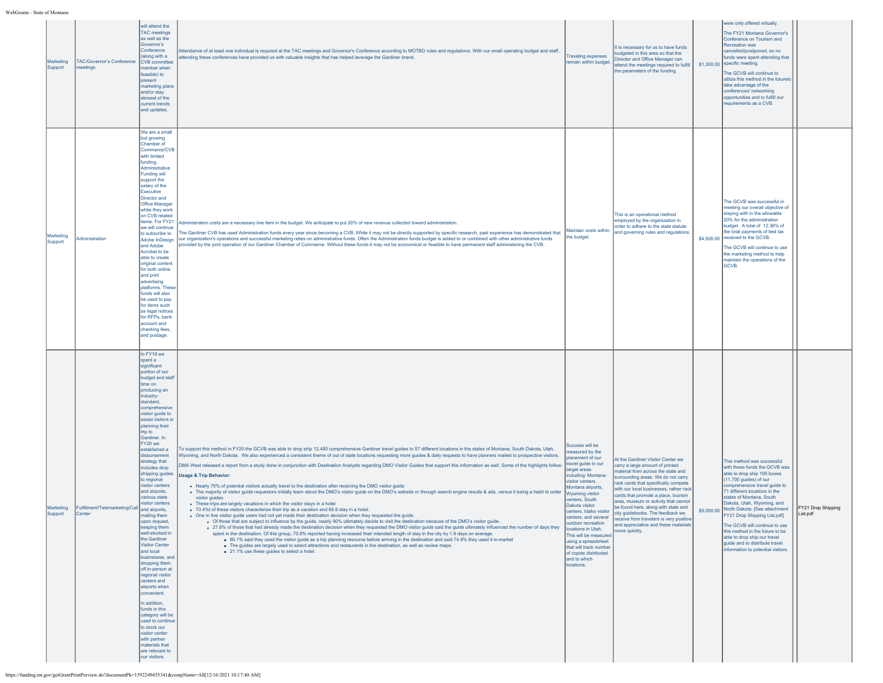| Marketing<br>Support | <b>TAC/Governor's Conference</b><br>meetings           | will attend the<br><b>TAC</b> meetings<br>as well as the<br>Governor's<br>Conference<br>(along with a<br>CVB committee<br>member when<br>feasible) to<br>present<br>marketing plans<br>and/or stay<br>abreast of the<br>current trends<br>and updates.                                                                                                                                                                                                                                                                                                                                                                                                                                                                                                                                                                                                              | Attendance of at least one individual is required at the TAC meetings and Governor's Conference according to MOTBD rules and regulations. With our small operating budget and staff,<br>attending these conferences have provided us with valuable insights that has helped leverage the Gardiner brand.                                                                                                                                                                                                                                                                                                                                                                                                                                                                                                                                                                                                                                                                                                                                                                                                                                                                                                                                                                                                                                                                                                                                                                                                                                                                                                                                                                                                                                                                                                                                                                                                                                                                                                                       | <b>Traveling expenses</b><br>remain within budget.                                                                                                                                                                                                                                                                                                                                                                                                    | It is necessary for us to have funds<br>budgeted in this area so that the<br>Director and Office Manager can<br>attend the meetings required to fulfill<br>the parameters of the funding.                                                                                                                                                                                                                                                                                                      | were only offered virtually.<br>The FY21 Montana Governor's<br>Conference on Tourism and<br><b>Recreation was</b><br>cancelled/postponed, so no<br>funds were spent attending that<br>\$1,300.00 specific meeting.<br>The GCVB will continue to<br>utilize this method in the futureto<br>take advantage of the<br>conferences' networking<br>opportunities and to fulfill our<br>equirements as a CVB.                                                                                                     |                                |
|----------------------|--------------------------------------------------------|---------------------------------------------------------------------------------------------------------------------------------------------------------------------------------------------------------------------------------------------------------------------------------------------------------------------------------------------------------------------------------------------------------------------------------------------------------------------------------------------------------------------------------------------------------------------------------------------------------------------------------------------------------------------------------------------------------------------------------------------------------------------------------------------------------------------------------------------------------------------|--------------------------------------------------------------------------------------------------------------------------------------------------------------------------------------------------------------------------------------------------------------------------------------------------------------------------------------------------------------------------------------------------------------------------------------------------------------------------------------------------------------------------------------------------------------------------------------------------------------------------------------------------------------------------------------------------------------------------------------------------------------------------------------------------------------------------------------------------------------------------------------------------------------------------------------------------------------------------------------------------------------------------------------------------------------------------------------------------------------------------------------------------------------------------------------------------------------------------------------------------------------------------------------------------------------------------------------------------------------------------------------------------------------------------------------------------------------------------------------------------------------------------------------------------------------------------------------------------------------------------------------------------------------------------------------------------------------------------------------------------------------------------------------------------------------------------------------------------------------------------------------------------------------------------------------------------------------------------------------------------------------------------------|-------------------------------------------------------------------------------------------------------------------------------------------------------------------------------------------------------------------------------------------------------------------------------------------------------------------------------------------------------------------------------------------------------------------------------------------------------|------------------------------------------------------------------------------------------------------------------------------------------------------------------------------------------------------------------------------------------------------------------------------------------------------------------------------------------------------------------------------------------------------------------------------------------------------------------------------------------------|-------------------------------------------------------------------------------------------------------------------------------------------------------------------------------------------------------------------------------------------------------------------------------------------------------------------------------------------------------------------------------------------------------------------------------------------------------------------------------------------------------------|--------------------------------|
| Marketing<br>Support | Administration                                         | We are a small<br>but growing<br>Chamber of<br>Commerce/CVB<br>with limited<br>funding.<br>Administrative<br>Funding will<br>support the<br>salary of the<br>Executive<br>Director and<br>Office Manager<br>while they work<br>on CVB related<br>items. For FY21<br>we will continue<br>to subscribe to<br>Adobe InDesign<br>and Adobe<br>Acrobat to be<br>able to create<br>original content<br>for both online<br>and print<br>advertising<br>platforms. These<br>funds will also<br>be used to pay<br>for items such<br>as legal notices<br>for RFPs, bank<br>account and<br>checking fees,<br>and postage.                                                                                                                                                                                                                                                      | Administration costs are a necessary line item in the budget. We anticipate to put 20% of new revenue collected toward administration.<br>The Gardiner CVB has used Administration funds every year since becoming a CVB. While it may not be directly supported by specific research, past experience has demonstrated that<br>our organization's operations and successful marketing relies on administrative funds. Often the Administration funds budget is added to or combined with other administrative funds<br>provided by the joint operation of our Gardiner Chamber of Commerce. Without these funds it may not be economical or feasible to have permanent staff administering the CVB.                                                                                                                                                                                                                                                                                                                                                                                                                                                                                                                                                                                                                                                                                                                                                                                                                                                                                                                                                                                                                                                                                                                                                                                                                                                                                                                           | Maintain costs within<br>the budget                                                                                                                                                                                                                                                                                                                                                                                                                   | This is an operational method<br>employed by the organization in<br>order to adhere to the state statute<br>and governing rules and regulations.                                                                                                                                                                                                                                                                                                                                               | The GCVB was successful in<br>meeting our overall objective of<br>staying with in the allowable<br>20% for the administration<br>budget. A total of 12.36% of<br>the total payments of bed tax<br>\$4,926.00 received to the GCVB.<br>The GCVB will continue to use<br>the marketing method to help<br>maintain the operations of the<br>GCVB.                                                                                                                                                              |                                |
| Marketing<br>Support | Fulfillment/Telemarketing/Call and airports,<br>Center | In FY19 we<br>spenta<br>significant<br>portion of our<br>budget and staf<br>time on<br>producing an<br>industry-<br>standard,<br>comprehensive<br>visitor guide to<br>assist visitors in<br>planning their<br>trip to<br>Gardiner. In<br>FY20 we<br>established a<br>disbursement<br>strategy that<br>includes drop<br>shipping guides<br>to regional<br>visitor centers<br>and airports,<br>various state<br>visitor centers<br>mailing them<br>upon request,<br>keeping them<br>well-stocked in<br>the Gardiner<br><b>Visitor Center</b><br>and local<br>businesses, and<br>dropping them<br>off in-person at<br>regional visitor<br>centers and<br>airports when<br>convenient.<br>In addition,<br>funds in this<br>category will be<br>used to continue<br>to stock our<br>visitor center<br>with partner<br>materials that<br>are relevant to<br>our visitors. | To support this method in FY20 the GCVB was able to drop ship 12,480 comprehensive Gardiner travel guides to 57 different locations in the states of Montana, South Dakota, Utah,<br>Wyoming, and North Dakota. We also experienced a consistent theme of out of state locations requesting more guides & daily requests to have planners mailed to prospective visitors.<br>DMA West released a report from a study done in conjunction with Destination Analysts regarding DMO Visitor Guides that support this information as well. Some of the highlights follow:<br><b>Usage &amp; Trip Behavior:</b><br>. Nearly 70% of potential visitors actually travel to the destination after receiving the DMO visitor guide<br>. The majority of visitor guide requestors initially learn about the DMO's visitor guide on the DMO's website or through search engine results & ads, versus it being a habit to order<br>visitor guides.<br>• These trips are largely vacations in which the visitor stays in a hotel<br>. 70.4%t of these visitors characterize their trip as a vacation and 68.8 stay in a hotel.<br>. One in five visitor quide users had not vet made their destination decision when they requested the quide.<br>o Of those that are subject to influence by the quide, nearly 90% ultimately decide to visit the destination because of the DMO's visitor quide.<br>• 27.8% of those that had already made the destination decision when they requested the DMO visitor guide said the guide ultimately influenced the number of days they<br>spent in the destination. Of this group, 70.8% reported having increased their intended length of stay in the city by 1.9 days on average.<br>■ 80.1% said they used the visitor guide as a trip planning resource before arriving in the destination and said 74.9% they used it in-market<br>. The guides are largely used to select attractions and restaurants in the destination, as well as review maps.<br>21.1% use these guides to select a hotel. | Success will be<br>measured by the<br>blacement of our<br>travel quide in our<br>arget areas<br>including: Montana<br>visitor centers,<br>Montana airports.<br><b>Wyoming visitor</b><br>centers, South<br>Dakota visitor<br>centers, Idaho visitor<br>ters, and several<br>outdoor recreation<br>locations in Utah.<br>This will be measured<br>using a spreadsheet<br>that will track number<br>of copies distributed<br>and to which<br>locations. | At the Gardiner Visitor Center we<br>carry a large amount of printed<br>naterial from across the state and<br>urrounding areas. We do not carry<br>rack cards that specifically compete<br>with our local businesses, rather rack<br>cards that promote a place, tourism<br>area, museum or activity that cannot<br>be found here; along with state and<br>city guidebooks. The feedback we<br>eceive from travelers is very positive<br>and appreciative and these materials<br>move quickly. | This method was successful<br>with these funds the GCVB was<br>able to drop ship 195 boxes<br>$(11,700$ guides) of our<br>comprehensive travel guide to<br>71 different locations in the<br>states of Montana, South<br>Dakota, Utah, Wyoming, and<br>\$5,000.00 North Dakota. [See attachment<br>FY21 Drop Shipping List.pdf].<br>The GCVB will continue to use<br>this method in the future to be<br>able to drop ship our travel<br>guide and to distribute travel<br>information to potential visitors. | FY21 Drop Shipping<br>List.pdf |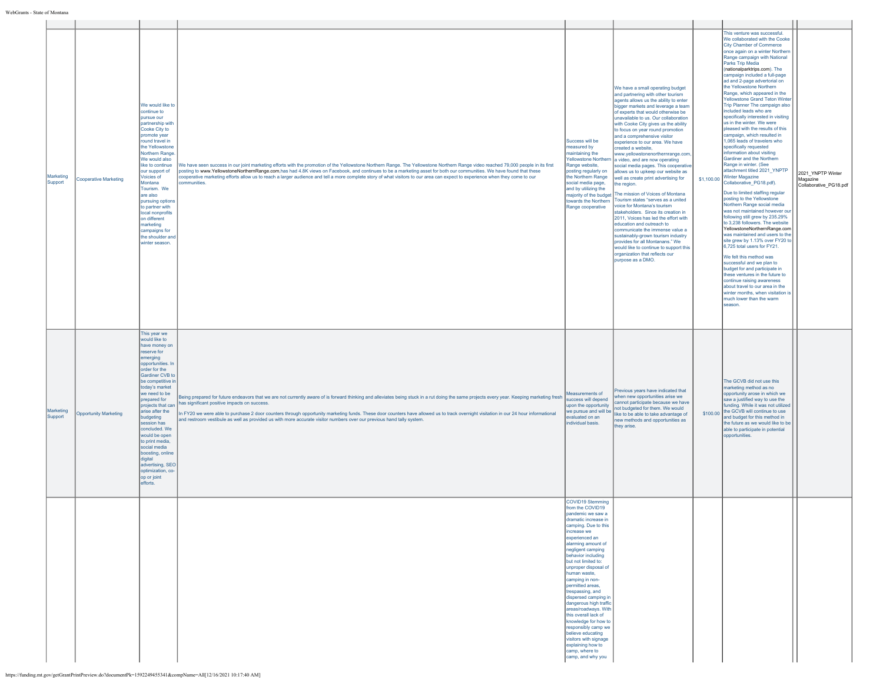| Marketing<br>Support | Cooperative Marketing        | We would like to<br>continue to<br>pursue our<br>partnership with<br>Cooke City to<br>promote year<br>round travel in<br>the Yellowstone<br>Northern Range.<br>We would also<br>like to continue<br>our support of<br>Voicies of<br>Montana<br>Tourism. We<br>are also<br>pursuing options<br>to partner with<br>local nonprofits<br>on different<br>narketing<br>campaigns for<br>the shoulder and<br>winter season.                                  | We have seen success in our joint marketing efforts with the promotion of the Yellowstone Northern Range. The Yellowstone Northern Range video reached 79,000 people in its first<br>posting to www.YellowstoneNorthernRange.com,has had 4.8K views on Facebook, and continues to be a marketing asset for both our communities. We have found that these<br>cooperative marketing efforts allow us to reach a larger audience and tell a more complete story of what visitors to our area can expect to experience when they come to our<br>ommunities                         | Success will be<br>measured by<br>maintaining the<br>Yellowstone Northern<br>Range website,<br>posting regularly on<br>the Northern Range<br>social media page,<br>and by utilizing the<br>majority of the budget<br>towards the Northern<br>Range cooperative                                                                                                                                                                                                                                                                                                                                   | We have a small operating budget<br>and partnering with other tourism<br>agents allows us the ability to enter<br>bigger markets and leverage a team<br>of experts that would otherwise be<br>unavailable to us. Our collaboration<br>with Cooke City gives us the ability<br>to focus on year round promotion<br>and a comprehensive visitor<br>experience to our area. We have<br>created a website,<br>www.yellowstonenorthernrange.com,<br>a video, and are now operating<br>social media pages. This cooperative<br>allows us to upkeep our website as<br>well as create print advertising for<br>the region.<br>The mission of Voices of Montana<br>Tourism states "serves as a united<br>voice for Montana's tourism<br>stakeholders. Since its creation in<br>2011, Voices has led the effort with<br>education and outreach to<br>communicate the immense value a<br>sustainably-grown tourism industry<br>provides for all Montanans." We<br>would like to continue to support this<br>organization that reflects our<br>purpose as a DMO. | This venture was successful.<br>We collaborated with the Cooke<br><b>City Chamber of Commerce</b><br>once again on a winter Northern<br>Range campaign with National<br>Parks Trip Media<br>(nationalparktrips.com). The<br>campaign included a full-page<br>ad and 2-page advertorial on<br>the Yellowstone Northern<br>Range, which appeared in the<br><b>Yellowstone Grand Teton Winter</b><br>Trip Planner The campaign also<br>included leads who are<br>specifically interested in visiting<br>us in the winter. We were<br>pleased with the results of this<br>campaign, which resulted in<br>1,065 leads of travelers who<br>specifically requested<br>information about visiting<br>Gardiner and the Northern<br>Range in winter. (See<br>attachment titled 2021_YNPTP<br>$$1,100.00$ Winter Magazine<br>Collaborative_PG18.pdf).<br>Due to limited staffing regular<br>posting to the Yellowstone<br>Northern Range social media<br>was not maintained however our<br>following still grew by 235.29%<br>to 3,238 followers. The website<br>YellowstoneNorthernRange.com<br>was maintained and users to the<br>site grew by 1.13% over FY20 to<br>6,725 total users for FY21.<br>We felt this method was<br>successful and we plan to<br>budget for and participate in<br>these ventures in the future to<br>continue raising awareness<br>about travel to our area in the<br>winter months, when visitation is<br>much lower than the warm<br>season. | 2021_YNPTP Winter<br>Magazine<br>Collaborative_PG18.pdf |
|----------------------|------------------------------|--------------------------------------------------------------------------------------------------------------------------------------------------------------------------------------------------------------------------------------------------------------------------------------------------------------------------------------------------------------------------------------------------------------------------------------------------------|---------------------------------------------------------------------------------------------------------------------------------------------------------------------------------------------------------------------------------------------------------------------------------------------------------------------------------------------------------------------------------------------------------------------------------------------------------------------------------------------------------------------------------------------------------------------------------|--------------------------------------------------------------------------------------------------------------------------------------------------------------------------------------------------------------------------------------------------------------------------------------------------------------------------------------------------------------------------------------------------------------------------------------------------------------------------------------------------------------------------------------------------------------------------------------------------|------------------------------------------------------------------------------------------------------------------------------------------------------------------------------------------------------------------------------------------------------------------------------------------------------------------------------------------------------------------------------------------------------------------------------------------------------------------------------------------------------------------------------------------------------------------------------------------------------------------------------------------------------------------------------------------------------------------------------------------------------------------------------------------------------------------------------------------------------------------------------------------------------------------------------------------------------------------------------------------------------------------------------------------------------|------------------------------------------------------------------------------------------------------------------------------------------------------------------------------------------------------------------------------------------------------------------------------------------------------------------------------------------------------------------------------------------------------------------------------------------------------------------------------------------------------------------------------------------------------------------------------------------------------------------------------------------------------------------------------------------------------------------------------------------------------------------------------------------------------------------------------------------------------------------------------------------------------------------------------------------------------------------------------------------------------------------------------------------------------------------------------------------------------------------------------------------------------------------------------------------------------------------------------------------------------------------------------------------------------------------------------------------------------------------------------------------------------------------------------------------------------------------|---------------------------------------------------------|
| Marketing<br>Support | <b>Opportunity Marketing</b> | This year we<br>would like to<br>have money on<br>reserve for<br>emerging<br>opportunities. In<br>order for the<br>Gardiner CVB to<br>be competitive in<br>today's market<br>we need to be<br>prepared for<br>projects that can<br>arise after the<br>budgeting<br>session has<br>concluded. We<br>would be open<br>to print media,<br>social media<br>boosting, online<br>digital<br>advertising, SEO<br>optimization, co-<br>op or joint<br>efforts. | Being prepared for future endeavors that we are not currently aware of is forward thinking and alleviates being stuck in a rut doing the same projects every year. Keeping marketing fresh success will depend<br>has significant positive impacts on success.<br>In FY20 we were able to purchase 2 door counters through opportunity marketing funds. These door counters have allowed us to track overnight visitation in our 24 hour informational<br>and restroom vestibule as well as provided us with more accurate visitor numbers over our previous hand tally system. | Measurements of<br>upon the opportunity<br>we pursue and will be<br>evaluated on an<br>individual basis.                                                                                                                                                                                                                                                                                                                                                                                                                                                                                         | Previous years have indicated that<br>when new opportunities arise we<br>cannot participate because we have<br>not budgeted for them. We would<br>ike to be able to take advantage of<br>new methods and opportunities as<br>they arise.                                                                                                                                                                                                                                                                                                                                                                                                                                                                                                                                                                                                                                                                                                                                                                                                             | The GCVB did not use this<br>marketing method as no<br>opportunity arose in which we<br>saw a justified way to use the<br>funding. While it was not utilized<br>\$100.00 the GCVB will continue to use<br>and budget for this method in<br>the future as we would like to be<br>able to participate in potential<br>opportunities.                                                                                                                                                                                                                                                                                                                                                                                                                                                                                                                                                                                                                                                                                                                                                                                                                                                                                                                                                                                                                                                                                                                               |                                                         |
|                      |                              |                                                                                                                                                                                                                                                                                                                                                                                                                                                        |                                                                                                                                                                                                                                                                                                                                                                                                                                                                                                                                                                                 | COVID19 Stemming<br>from the COVID19<br>pandemic we saw a<br>framatic increase in<br>camping. Due to this<br>increase we<br>experienced an<br>alarming amount of<br>negligent camping<br>behavior including<br>but not limited to:<br>unproper disposal of<br>human waste,<br>camping in non-<br>permitted areas,<br>trespassing, and<br>dispersed camping in<br>dangerous high traffic<br>areas/roadways. With<br>this overall lack of<br>knowledge for how to<br>responsibly camp we<br>believe educating<br>visitors with signage<br>explaining how to<br>camp, where to<br>camp, and why you |                                                                                                                                                                                                                                                                                                                                                                                                                                                                                                                                                                                                                                                                                                                                                                                                                                                                                                                                                                                                                                                      |                                                                                                                                                                                                                                                                                                                                                                                                                                                                                                                                                                                                                                                                                                                                                                                                                                                                                                                                                                                                                                                                                                                                                                                                                                                                                                                                                                                                                                                                  |                                                         |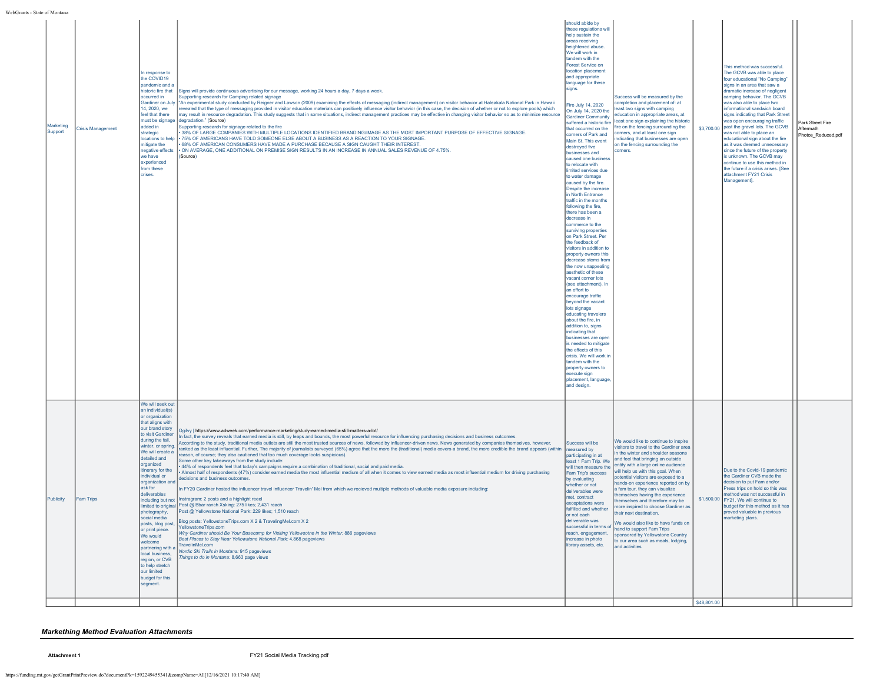| Marketing<br>Support | <b>Crisis Management</b> | In response to<br>the COVID19<br>pandemic and a<br>historic fire that<br>occurred in<br>14, 2020, we<br>feel that there<br>must be signage<br>added in<br>strategic<br>locations to help<br>mitigate the<br>egative effects<br>we have<br>experienced<br>from these<br>crises.                                                                                                                                                                                                                                             | Signs will provide continuous advertising for our message, working 24 hours a day, 7 days a week.<br>Supporting research for Camping related signage<br>Gardiner on July  "An experimental study conducted by Reigner and Lawson (2009) examining the effects of messaging (indirect management) on visitor behavior at Haleakala National Park in Hawaii<br>evealed that the type of messaging provided in visitor education materials can positively influence visitor behavior (in this case, the decision of whether or not to explore pools) which<br>nay result in resource degradation. This study suggests that in some situations, indirect management practices may be effective in changing visitor behavior so as to minimize resource<br>degradation." (Source)<br>Supporting research for signage related to the fire<br>38% OF LARGE COMPANIES WITH MULTIPLE LOCATIONS IDENTIFIED BRANDING/IMAGE AS THE MOST IMPORTANT PURPOSE OF EFFECTIVE SIGNAGE.<br>75% OF AMERICANS HAVE TOLD SOMEONE ELSE ABOUT A BUSINESS AS A REACTION TO YOUR SIGNAGE.<br>68% OF AMERICAN CONSUMERS HAVE MADE A PURCHASE BECAUSE A SIGN CAUGHT THEIR INTEREST.<br>ON AVERAGE, ONE ADDITIONAL ON PREMISE SIGN RESULTS IN AN INCREASE IN ANNUAL SALES REVENUE OF 4.75%.<br>(Source)                                                                                                                                                                                                                                                                                                                                                                                                                                                                                                                                                                                                 | should abide by<br>these regulations will<br>help sustain the<br>areas receiving<br>heightened abuse.<br>We will work in<br>tandem with the<br>Forest Service on<br>location placement<br>and appropriate<br>language for these<br>signs.<br>Fire July 14, 2020<br>On July 14, 2020 the<br><b>Gardiner Community</b><br>suffered a historic fire<br>that occurred on the<br>corners of Park and<br>Main St. This event<br>destroyed five<br>businesses and<br>caused one business<br>to relocate with<br>limited services due<br>to water damage<br>caused by the fire.<br>Despite the increase<br>in North Entrance<br>traffic in the months<br>following the fire,<br>there has been a<br>decrease in<br>commerce to the<br>surviving properties<br>on Park Street. Per<br>the feedback of<br>visitors in addition to<br>property owners this<br>decrease stems from<br>the now unappealing<br>aesthetic of these<br>vacant corner lots<br>(see attachment). In<br>an effort to<br>encourage traffic<br>beyond the vacant<br>lots signage<br>educating travelers<br>about the fire, in<br>addition to, signs<br>indicating that<br>businesses are open<br>is needed to mitigate<br>the effects of this<br>crisis. We will work in<br>tandem with the<br>property owners to<br>execute sign<br>placement, language,<br>and design. | Success will be measured by the<br>completion and placement of: at<br>least two signs with camping<br>education in appropriate areas, at<br>least one sign explaining the historic<br>fire on the fencing surrounding the<br>corners, and at least one sign<br>indicating that businesses are open<br>on the fencing surrounding the<br>corners.                                                                                                                                                                                                                                                                                                                |             | This method was successful.<br>The GCVB was able to place<br>four educational "No Camping"<br>signs in an area that saw a<br>dramatic increase of negligent<br>camping behavior. The GCVB<br>was also able to place two<br>informational sandwich board<br>signs indicating that Park Street<br>was open encouraging traffic<br>\$3,700.00 past the gravel lots. The GCVB<br>was not able to place an<br>educational sign about the fire<br>as it was deemed unnecessary<br>since the future of the property<br>is unknown. The GCVB may<br>continue to use this method in<br>the future if a crisis arises. [See<br>attachment FY21 Crisis<br>Management]. | Park Street Fire<br>Aftermath<br>Photos Reduced.pdf |
|----------------------|--------------------------|----------------------------------------------------------------------------------------------------------------------------------------------------------------------------------------------------------------------------------------------------------------------------------------------------------------------------------------------------------------------------------------------------------------------------------------------------------------------------------------------------------------------------|---------------------------------------------------------------------------------------------------------------------------------------------------------------------------------------------------------------------------------------------------------------------------------------------------------------------------------------------------------------------------------------------------------------------------------------------------------------------------------------------------------------------------------------------------------------------------------------------------------------------------------------------------------------------------------------------------------------------------------------------------------------------------------------------------------------------------------------------------------------------------------------------------------------------------------------------------------------------------------------------------------------------------------------------------------------------------------------------------------------------------------------------------------------------------------------------------------------------------------------------------------------------------------------------------------------------------------------------------------------------------------------------------------------------------------------------------------------------------------------------------------------------------------------------------------------------------------------------------------------------------------------------------------------------------------------------------------------------------------------------------------------------------------------------------------------------------------------------------------------------------|-------------------------------------------------------------------------------------------------------------------------------------------------------------------------------------------------------------------------------------------------------------------------------------------------------------------------------------------------------------------------------------------------------------------------------------------------------------------------------------------------------------------------------------------------------------------------------------------------------------------------------------------------------------------------------------------------------------------------------------------------------------------------------------------------------------------------------------------------------------------------------------------------------------------------------------------------------------------------------------------------------------------------------------------------------------------------------------------------------------------------------------------------------------------------------------------------------------------------------------------------------------------------------------------------------------------------------------|-----------------------------------------------------------------------------------------------------------------------------------------------------------------------------------------------------------------------------------------------------------------------------------------------------------------------------------------------------------------------------------------------------------------------------------------------------------------------------------------------------------------------------------------------------------------------------------------------------------------------------------------------------------------|-------------|-------------------------------------------------------------------------------------------------------------------------------------------------------------------------------------------------------------------------------------------------------------------------------------------------------------------------------------------------------------------------------------------------------------------------------------------------------------------------------------------------------------------------------------------------------------------------------------------------------------------------------------------------------------|-----------------------------------------------------|
| Publicity            | <b>Fam Trips</b>         | We will seek out<br>an individual(s)<br>or organization<br>that aligns with<br>our brand story<br>to visit Gardiner<br>during the fall,<br>winter, or spring<br>We will create a<br>detailed and<br>organized<br>tinerary for the<br>individual or<br>organization and<br>ask for<br>deliverables<br>photography,<br>social media<br>posts, blog post,<br>or print piece.<br>We would<br>welcome<br>partnering with a<br>local business,<br>egion, or CVB<br>to help stretch<br>our limited<br>budget for this<br>segment. | /2gilvy   https://www.adweek.com/performance-marketing/study-earned-media-still-matters-a-lot<br>n fact, the survey reveals that earned media is still, by leaps and bounds, the most powerful resource for influencing purchasing decisions and business outcomes.<br>According to the study, traditional media outlets are still the most trusted sources of news, followed by influencer-driven news. News generated by companies themselves, however,<br>anked as the least influential. Further, The majority of journalists surveyed (65%) agree that the more the (traditional) media covers a brand, the more credible the brand appears (within<br>eason, of course; they also cautioned that too much coverage looks suspicious).<br>Some other key takeaways from the study include:<br>44% of respondents feel that today's campaigns require a combination of traditional, social and paid media.<br>Almost half of respondents (47%) consider earned media the most influential medium of all when it comes to view earned media as most influential medium for driving purchasing<br>decisions and business outcomes.<br>1 FY20 Gardiner hosted the influencer travel influencer Travelin' Mel from which we recieved multiple methods of valuable media exposure including:<br>including but not  Instragram: 2 posts and a highlight reeel<br>limited to original Post @ Bbar ranch Xsking: 275 likes; 2,431 reach<br>Post @ Yellowstone National Park: 229 likes; 1,510 reach<br>Blog posts: YellowstoneTrips.com X 2 & TravelingMel.com X 2<br>YellowstoneTrips.com<br>Why Gardiner should Be Your Basecamp for Visiting Yellowsotne in the Winter: 886 pageviews<br>Best Places to Stay Near Yellowstone National Park: 4,868 pageviews<br>TravelinMel.com<br>Nordic Ski Trails in Montana: 915 pageviews<br>hings to do in Montana: 8,663 page views | Success will be<br>measured by<br>participating in at<br>least 1 Fam Trip. We<br>will then measure the<br>Fam Trip's success<br>by evaluating<br>whether or not<br>deliverables were<br>met, contract<br>exceptations were<br>fulfilled and whether<br>or not each<br>deliverable was<br>successful in terms of<br>reach, engagement,<br>increase in photo<br>library assets, etc.                                                                                                                                                                                                                                                                                                                                                                                                                                                                                                                                                                                                                                                                                                                                                                                                                                                                                                                                                  | We would like to continue to inspire<br>visitors to travel to the Gardiner area<br>in the winter and shoulder seasons<br>and feel that bringing an outside<br>entity with a large online audience<br>will help us with this goal. When<br>potential visitors are exposed to a<br>hands-on experience reported on by<br>a fam tour, they can visualize<br>themselves having the experience<br>themselves and therefore may be<br>more inspired to choose Gardiner as<br>their next destination.<br>We would also like to have funds on<br>hand to support Fam Trips<br>sponsored by Yellowstone Country<br>to our area such as meals, lodging,<br>and activities | \$48,801.00 | Due to the Covid-19 pandemic<br>the Gardiner CVB made the<br>decision to put Fam and/or<br>Press trips on hold so this was<br>nethod was not successful in<br>\$1,500.00 FY21. We will continue to<br>budget for this method as it has<br>proved valuable in previous<br>narketing plans.                                                                                                                                                                                                                                                                                                                                                                   |                                                     |

## *Markething Method Evaluation Attachments*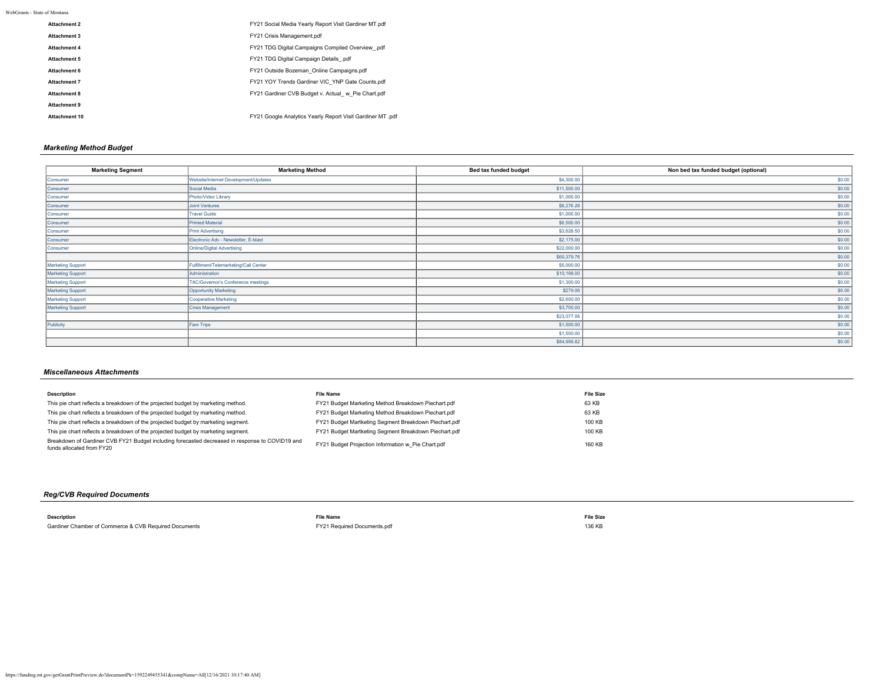WebGrants - State of Montana

| Attachment 2  | FY21 Social Media Yearly Report Visit Gardiner MT.pdf      |
|---------------|------------------------------------------------------------|
| Attachment 3  | FY21 Crisis Management.pdf                                 |
| Attachment 4  | FY21 TDG Digital Campaigns Compiled Overview .pdf          |
| Attachment 5  | FY21 TDG Digital Campaign Details .pdf                     |
| Attachment 6  | FY21 Outside Bozeman Online Campaigns.pdf                  |
| Attachment 7  | FY21 YOY Trends Gardiner VIC YNP Gate Counts.pdf           |
| Attachment 8  | FY21 Gardiner CVB Budget v. Actual w Pie Chart.pdf         |
| Attachment 9  |                                                            |
| Attachment 10 | FY21 Google Analytics Yearly Report Visit Gardiner MT, pdf |

## *Marketing Method Budget*

| <b>Marketing Segment</b> | <b>Marketing Method</b>               | Bed tax funded budget | Non bed tax funded budget (optional) |
|--------------------------|---------------------------------------|-----------------------|--------------------------------------|
| Consumer                 | Website/Internet Development/Updates  | \$4,300.00            | \$0.00                               |
| Consumer                 | Social Media                          | \$11,500.00           | \$0.00                               |
| Consumer                 | Photo/Video Library                   | \$1,000.00            | \$0.00                               |
| Consumer                 | <b>Joint Ventures</b>                 | \$8,276.26            | \$0.00                               |
| Consumer                 | <b>Travel Guide</b>                   | \$1,000.00            | \$0.00                               |
| Consumer                 | <b>Printed Material</b>               | \$6,500.00            | \$0.00                               |
| Consumer                 | <b>Print Advertising</b>              | \$3,628.50            | \$0.00                               |
| Consumer                 | Electronic Adv - Newsletter, E-blast  | \$2,175.00            | \$0.00                               |
| Consumer                 | <b>Online/Digital Advertising</b>     | \$22,000.00           | \$0.00                               |
|                          |                                       | \$60,379.76           | \$0.00                               |
| Marketing Support        | Fulfillment/Telemarketing/Call Center | \$5,000.00            | \$0.00                               |
| Marketing Support        | Administration                        | \$10,198.00           | \$0.00                               |
| Marketing Support        | TAC/Governor's Conference meetings    | \$1,300.00            | \$0.00                               |
| <b>Marketing Support</b> | <b>Opportunity Marketing</b>          | \$279.06              | \$0.00                               |
| Marketing Support        | <b>Cooperative Marketing</b>          | \$2,600.00            | \$0.00                               |
| <b>Marketing Support</b> | <b>Crisis Management</b>              | \$3,700.00            | \$0.00                               |
|                          |                                       | \$23,077.06           | \$0.00                               |
| Publicity                | Fam Trips                             | \$1,500.00            | \$0.00                               |
|                          |                                       | \$1,500.00            | \$0.00                               |
|                          |                                       | \$84,956.82           | \$0.00                               |

# *Miscellaneous Attachments*

| <b>Description</b>                                                                                                           | <b>File Name</b>                                      | <b>File Size</b> |
|------------------------------------------------------------------------------------------------------------------------------|-------------------------------------------------------|------------------|
| This pie chart reflects a breakdown of the projected budget by marketing method.                                             | FY21 Budget Marketing Method Breakdown Piechart.pdf   | 63 KB            |
| This pie chart reflects a breakdown of the projected budget by marketing method.                                             | FY21 Budget Marketing Method Breakdown Piechart.pdf   | 63 KB            |
| This pie chart reflects a breakdown of the projected budget by marketing segment.                                            | FY21 Budget Martketing Segment Breakdown Piechart.pdf | 100 KB           |
| This pie chart reflects a breakdown of the projected budget by marketing segment.                                            | FY21 Budget Martketing Segment Breakdown Piechart.pdf | 100 KB           |
| Breakdown of Gardiner CVB FY21 Budget including forecasted decreased in response to COVID19 and<br>funds allocated from FY20 | FY21 Budget Projection Information w Pie Chart.pdf    | 160 KB           |

# *Reg/CVB Required Documents*

**Description File Name File Size** Gardiner Chamber of Commerce & CVB Required Documents **FY21** Required Documents.pdf 136 KB